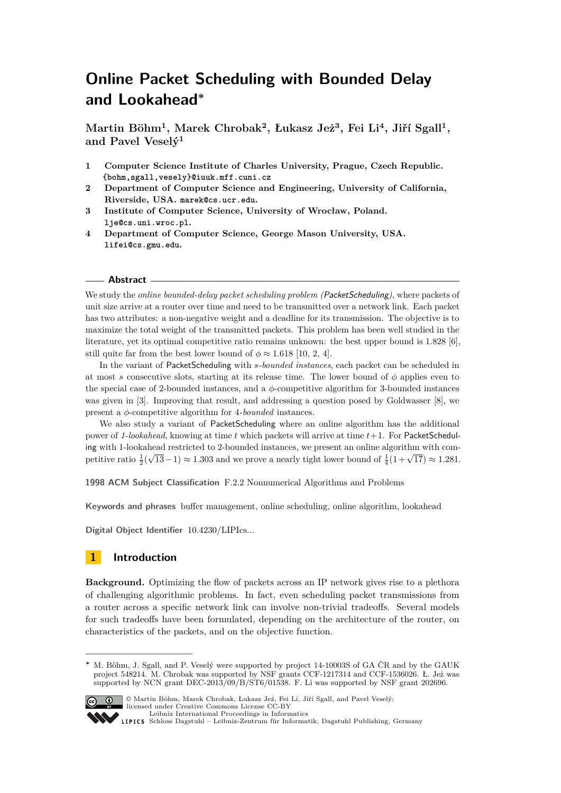# **Online Packet Scheduling with Bounded Delay and Lookahead<sup>∗</sup>**

**Martin Böhm<sup>1</sup> , Marek Chrobak<sup>2</sup> , Łukasz Jeż<sup>3</sup> , Fei Li<sup>4</sup> , Jiří Sgall<sup>1</sup> , and Pavel Veselý<sup>1</sup>**

- **1 Computer Science Institute of Charles University, Prague, Czech Republic. {bohm,sgall,vesely}@iuuk.mff.cuni.cz**
- **2 Department of Computer Science and Engineering, University of California, Riverside, USA. marek@cs.ucr.edu.**
- **3 Institute of Computer Science, University of Wrocław, Poland. lje@cs.uni.wroc.pl.**
- **4 Department of Computer Science, George Mason University, USA. lifei@cs.gmu.edu.**

#### **Abstract**

We study the *online bounded-delay packet scheduling problem (PacketScheduling)*, where packets of unit size arrive at a router over time and need to be transmitted over a network link. Each packet has two attributes: a non-negative weight and a deadline for its transmission. The objective is to maximize the total weight of the transmitted packets. This problem has been well studied in the literature, yet its optimal competitive ratio remains unknown: the best upper bound is 1*.*828 [\[6\]](#page-11-0), still quite far from the best lower bound of  $\phi \approx 1.618$  [\[10,](#page-11-1) [2,](#page-11-2) [4\]](#page-11-3).

In the variant of PacketScheduling with *s-bounded instances*, each packet can be scheduled in at most *s* consecutive slots, starting at its release time. The lower bound of  $\phi$  applies even to the special case of 2-bounded instances, and a *φ*-competitive algorithm for 3-bounded instances was given in [\[3\]](#page-11-4). Improving that result, and addressing a question posed by Goldwasser [\[8\]](#page-11-5), we present a *φ*-competitive algorithm for 4*-bounded* instances.

We also study a variant of PacketScheduling where an online algorithm has the additional power of *1-lookahead*, knowing at time *t* which packets will arrive at time *t*+1. For PacketScheduling with 1-lookahead restricted to 2-bounded instances, we present an online algorithm with com-√ mg with 1-lookanead restricted to 2-bounded instances, we present an online algorithm with com-<br>petitive ratio  $\frac{1}{2}(\sqrt{13}-1) \approx 1.303$  and we prove a nearly tight lower bound of  $\frac{1}{4}(1+\sqrt{17}) \approx 1.281$ .

**1998 ACM Subject Classification** F.2.2 Nonnumerical Algorithms and Problems

**Keywords and phrases** buffer management, online scheduling, online algorithm, lookahead

**Digital Object Identifier** [10.4230/LIPIcs...](http://dx.doi.org/10.4230/LIPIcs...)

# <span id="page-0-0"></span>**1 Introduction**

**Background.** Optimizing the flow of packets across an IP network gives rise to a plethora of challenging algorithmic problems. In fact, even scheduling packet transmissions from a router across a specific network link can involve non-trivial tradeoffs. Several models for such tradeoffs have been formulated, depending on the architecture of the router, on characteristics of the packets, and on the objective function.

**<sup>∗</sup>** M. Böhm, J. Sgall, and P. Veselý were supported by project 14-10003S of GA ČR and by the GAUK project 548214. M. Chrobak was supported by NSF grants CCF-1217314 and CCF-1536026. Ł. Jeż was supported by NCN grant DEC-2013/09/B/ST6/01538. F. Li was supported by NSF grant 202696.



<sup>&</sup>lt;sup>C</sup> (1) © Martin Böhm, Marek Chrobak, Łukasz Jeż, Fei Li, Jiří Sgall, and Pavel Veselý; licensed under Creative Commons License CC-BY [Leibniz International Proceedings in Informatics](http://www.dagstuhl.de/lipics/)

[Schloss Dagstuhl – Leibniz-Zentrum für Informatik, Dagstuhl Publishing, Germany](http://www.dagstuhl.de)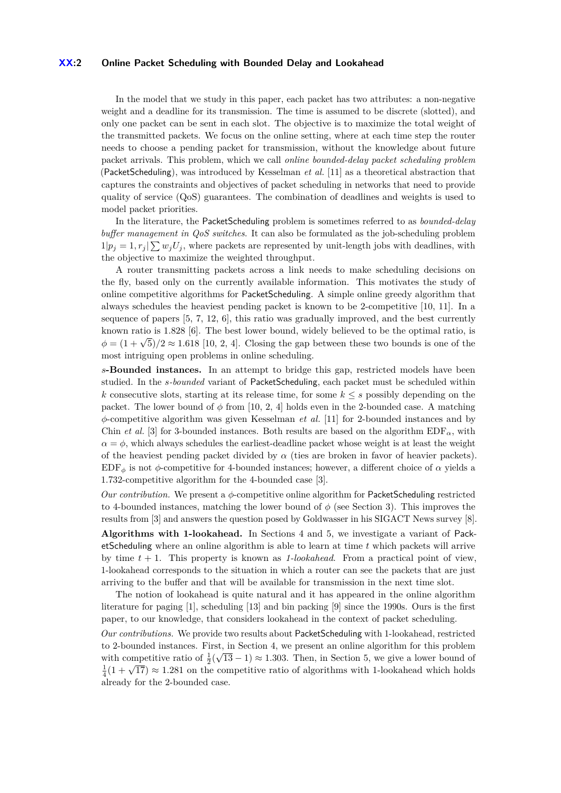#### **XX:2 Online Packet Scheduling with Bounded Delay and Lookahead**

In the model that we study in this paper, each packet has two attributes: a non-negative weight and a deadline for its transmission. The time is assumed to be discrete (slotted), and only one packet can be sent in each slot. The objective is to maximize the total weight of the transmitted packets. We focus on the online setting, where at each time step the router needs to choose a pending packet for transmission, without the knowledge about future packet arrivals. This problem, which we call *online bounded-delay packet scheduling problem* (PacketScheduling), was introduced by Kesselman *et al.* [\[11\]](#page-11-6) as a theoretical abstraction that captures the constraints and objectives of packet scheduling in networks that need to provide quality of service (QoS) guarantees. The combination of deadlines and weights is used to model packet priorities.

In the literature, the PacketScheduling problem is sometimes referred to as *bounded-delay buffer management in QoS switches*. It can also be formulated as the job-scheduling problem  $1|p_j = 1, r_j| \sum w_j U_j$ , where packets are represented by unit-length jobs with deadlines, with the objective to maximize the weighted throughput.

A router transmitting packets across a link needs to make scheduling decisions on the fly, based only on the currently available information. This motivates the study of online competitive algorithms for PacketScheduling. A simple online greedy algorithm that always schedules the heaviest pending packet is known to be 2-competitive [\[10,](#page-11-1) [11\]](#page-11-6). In a sequence of papers [\[5,](#page-11-7) [7,](#page-11-8) [12,](#page-11-9) [6\]](#page-11-0), this ratio was gradually improved, and the best currently known ratio is 1*.*828 [\[6\]](#page-11-0). The best lower bound, widely believed to be the optimal ratio, is  $\phi = (1 + \sqrt{5})/2 \approx 1.618$  [\[10,](#page-11-1) [2,](#page-11-2) [4\]](#page-11-3). Closing the gap between these two bounds is one of the most intriguing open problems in online scheduling.

*s***-Bounded instances.** In an attempt to bridge this gap, restricted models have been studied. In the *s-bounded* variant of PacketScheduling, each packet must be scheduled within *k* consecutive slots, starting at its release time, for some  $k \leq s$  possibly depending on the packet. The lower bound of  $\phi$  from [\[10,](#page-11-1) [2,](#page-11-2) [4\]](#page-11-3) holds even in the 2-bounded case. A matching *φ*-competitive algorithm was given Kesselman *et al.* [\[11\]](#page-11-6) for 2-bounded instances and by Chin *et al.* [\[3\]](#page-11-4) for 3-bounded instances. Both results are based on the algorithm  $EDF_{\alpha}$ , with  $\alpha = \phi$ , which always schedules the earliest-deadline packet whose weight is at least the weight of the heaviest pending packet divided by  $\alpha$  (ties are broken in favor of heavier packets). EDF<sub>φ</sub> is not  $\phi$ -competitive for 4-bounded instances; however, a different choice of  $\alpha$  yields a 1*.*732-competitive algorithm for the 4-bounded case [\[3\]](#page-11-4).

*Our contribution.* We present a *φ*-competitive online algorithm for PacketScheduling restricted to 4-bounded instances, matching the lower bound of  $\phi$  (see Section [3\)](#page-3-0). This improves the results from [\[3\]](#page-11-4) and answers the question posed by Goldwasser in his SIGACT News survey [\[8\]](#page-11-5).

**Algorithms with 1-lookahead.** In Sections [4](#page-7-0) and [5,](#page-9-0) we investigate a variant of PacketScheduling where an online algorithm is able to learn at time *t* which packets will arrive by time *t* + 1. This property is known as *1-lookahead*. From a practical point of view, 1-lookahead corresponds to the situation in which a router can see the packets that are just arriving to the buffer and that will be available for transmission in the next time slot.

The notion of lookahead is quite natural and it has appeared in the online algorithm literature for paging [\[1\]](#page-11-10), scheduling [\[13\]](#page-11-11) and bin packing [\[9\]](#page-11-12) since the 1990s. Ours is the first paper, to our knowledge, that considers lookahead in the context of packet scheduling. *Our contributions.* We provide two results about PacketScheduling with 1-lookahead, restricted to 2-bounded instances. First, in Section [4,](#page-7-0) we present an online algorithm for this problem

with competitive ratio of  $\frac{1}{2}(\sqrt{13}-1) \approx 1.303$ . Then, in Section [5,](#page-9-0) we give a lower bound of with competitive ratio of  $\frac{1}{2}(\sqrt{13}-1) \approx 1.303$ . Then, in section 3, we give a lower bound on  $\frac{1}{4}(1+\sqrt{17}) \approx 1.281$  on the competitive ratio of algorithms with 1-lookahead which holds already for the 2-bounded case.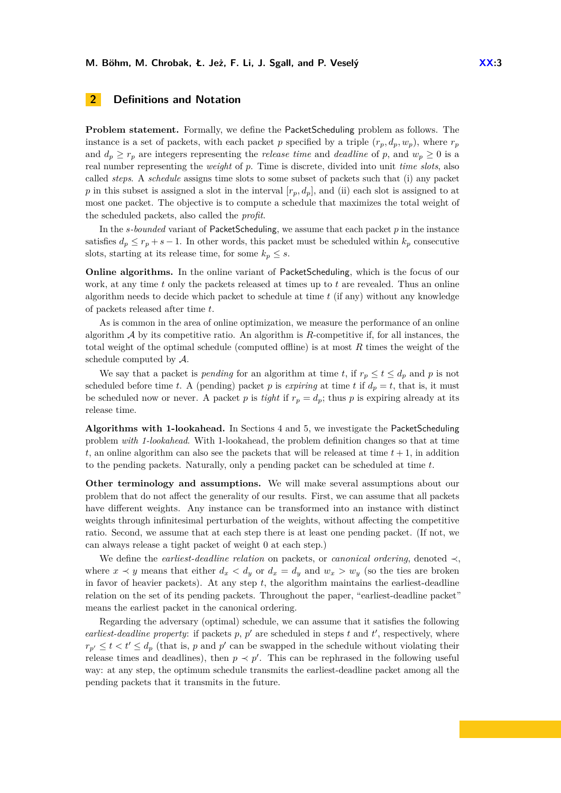# <span id="page-2-0"></span>**2 Definitions and Notation**

**Problem statement.** Formally, we define the PacketScheduling problem as follows. The instance is a set of packets, with each packet p specified by a triple  $(r_p, d_p, w_p)$ , where  $r_p$ and  $d_p \geq r_p$  are integers representing the *release time* and *deadline* of p, and  $w_p \geq 0$  is a real number representing the *weight* of *p*. Time is discrete, divided into unit *time slots*, also called *steps*. A *schedule* assigns time slots to some subset of packets such that (i) any packet *p* in this subset is assigned a slot in the interval  $[r_p, d_p]$ , and (ii) each slot is assigned to at most one packet. The objective is to compute a schedule that maximizes the total weight of the scheduled packets, also called the *profit*.

In the *s-bounded* variant of PacketScheduling, we assume that each packet *p* in the instance satisfies  $d_p \leq r_p + s - 1$ . In other words, this packet must be scheduled within  $k_p$  consecutive slots, starting at its release time, for some  $k_p \leq s$ .

**Online algorithms.** In the online variant of PacketScheduling, which is the focus of our work, at any time *t* only the packets released at times up to *t* are revealed. Thus an online algorithm needs to decide which packet to schedule at time *t* (if any) without any knowledge of packets released after time *t*.

As is common in the area of online optimization, we measure the performance of an online algorithm A by its competitive ratio. An algorithm is *R*-competitive if, for all instances, the total weight of the optimal schedule (computed offline) is at most *R* times the weight of the schedule computed by A.

We say that a packet is *pending* for an algorithm at time *t*, if  $r_p \le t \le d_p$  and *p* is not scheduled before time *t*. A (pending) packet *p* is *expiring* at time *t* if  $d_p = t$ , that is, it must be scheduled now or never. A packet *p* is *tight* if  $r_p = d_p$ ; thus *p* is expiring already at its release time.

**Algorithms with 1-lookahead.** In Sections [4](#page-7-0) and [5,](#page-9-0) we investigate the PacketScheduling problem *with 1-lookahead*. With 1-lookahead, the problem definition changes so that at time  $t$ , an online algorithm can also see the packets that will be released at time  $t + 1$ , in addition to the pending packets. Naturally, only a pending packet can be scheduled at time *t*.

**Other terminology and assumptions.** We will make several assumptions about our problem that do not affect the generality of our results. First, we can assume that all packets have different weights. Any instance can be transformed into an instance with distinct weights through infinitesimal perturbation of the weights, without affecting the competitive ratio. Second, we assume that at each step there is at least one pending packet. (If not, we can always release a tight packet of weight 0 at each step.)

We define the *earliest-deadline relation* on packets, or *canonical ordering*, denoted ≺, where  $x \prec y$  means that either  $d_x \prec d_y$  or  $d_x = d_y$  and  $w_x > w_y$  (so the ties are broken in favor of heavier packets). At any step  $t$ , the algorithm maintains the earliest-deadline relation on the set of its pending packets. Throughout the paper, "earliest-deadline packet" means the earliest packet in the canonical ordering.

Regarding the adversary (optimal) schedule, we can assume that it satisfies the following *earliest-deadline property*: if packets  $p, p'$  are scheduled in steps  $t$  and  $t'$ , respectively, where  $r_{p'} \leq t < t' \leq d_p$  (that is, *p* and *p*' can be swapped in the schedule without violating their release times and deadlines), then  $p \prec p'$ . This can be rephrased in the following useful way: at any step, the optimum schedule transmits the earliest-deadline packet among all the pending packets that it transmits in the future.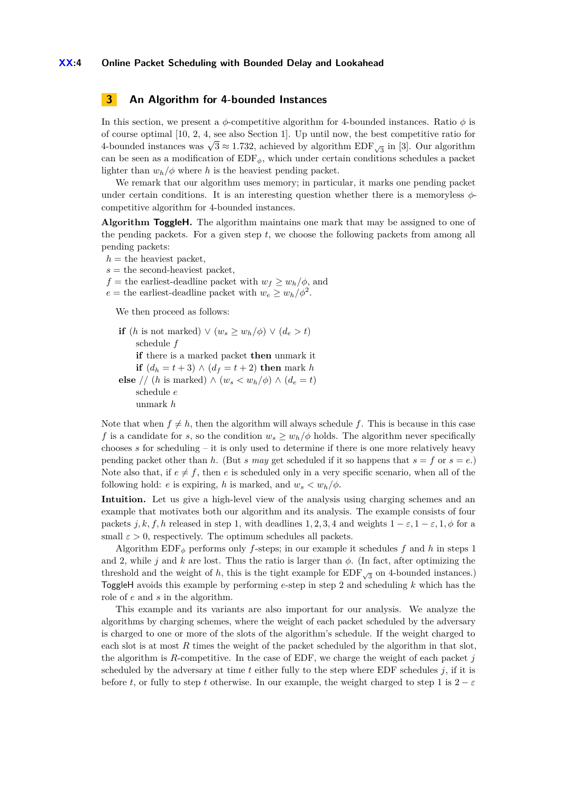#### **XX:4 Online Packet Scheduling with Bounded Delay and Lookahead**

# <span id="page-3-0"></span>**3 An Algorithm for 4-bounded Instances**

In this section, we present a *φ*-competitive algorithm for 4-bounded instances. Ratio *φ* is of course optimal [\[10,](#page-11-1) [2,](#page-11-2) [4,](#page-11-3) see also Section [1\]](#page-0-0). Up until now, the best competitive ratio for of course optimal [10, 2, 4, see also section 1]. Op until now, the best competitive ratio for 4-bounded instances was  $\sqrt{3} \approx 1.732$ , achieved by algorithm EDF<sub>√3</sub> in [\[3\]](#page-11-4). Our algorithm can be seen as a modification of  $EDF_{\phi}$ , which under certain conditions schedules a packet lighter than  $w_h/\phi$  where *h* is the heaviest pending packet.

We remark that our algorithm uses memory; in particular, it marks one pending packet under certain conditions. It is an interesting question whether there is a memoryless *φ*competitive algorithm for 4-bounded instances.

**Algorithm ToggleH.** The algorithm maintains one mark that may be assigned to one of the pending packets. For a given step *t*, we choose the following packets from among all pending packets:

 $h =$  the heaviest packet,

 $s =$  the second-heaviest packet,

*f* = the earliest-deadline packet with  $w_f \geq w_h/\phi$ , and

 $e =$  the earliest-deadline packet with  $w_e \geq w_h / \phi^2$ .

We then proceed as follows:

```
if (h is not marked) \vee (w_s \geq w_h/\phi) \vee (d_e > t)schedule f
     if there is a marked packet then unmark it
     if (d_h = t + 3) ∧ (d_f = t + 2) then mark h
else // (h is marked) \wedge (w<sub>s</sub> \langle w_h/\phi \rangle \wedge (d_e = t)schedule e
     unmark h
```
Note that when  $f \neq h$ , then the algorithm will always schedule f. This is because in this case *f* is a candidate for *s*, so the condition  $w_s \geq w_h/\phi$  holds. The algorithm never specifically chooses *s* for scheduling – it is only used to determine if there is one more relatively heavy pending packet other than *h*. (But *s* may get scheduled if it so happens that  $s = f$  or  $s = e$ .) Note also that, if  $e \neq f$ , then *e* is scheduled only in a very specific scenario, when all of the following hold: *e* is expiring, *h* is marked, and  $w_s < w_h/\phi$ .

**Intuition.** Let us give a high-level view of the analysis using charging schemes and an example that motivates both our algorithm and its analysis. The example consists of four packets *j, k, f, h* released in step 1, with deadlines 1, 2, 3, 4 and weights  $1 - \varepsilon$ ,  $1 - \varepsilon$ ,  $1, \phi$  for a small  $\varepsilon > 0$ , respectively. The optimum schedules all packets.

Algorithm  $EDF_{\phi}$  performs only *f*-steps; in our example it schedules *f* and *h* in steps 1 and 2, while *j* and *k* are lost. Thus the ratio is larger than *φ*. (In fact, after optimizing the threshold and the weight of *h*, this is the tight example for  $EDF_{\sqrt{3}}$  on 4-bounded instances.) ToggleH avoids this example by performing *e*-step in step 2 and scheduling *k* which has the role of *e* and *s* in the algorithm.

This example and its variants are also important for our analysis. We analyze the algorithms by charging schemes, where the weight of each packet scheduled by the adversary is charged to one or more of the slots of the algorithm's schedule. If the weight charged to each slot is at most *R* times the weight of the packet scheduled by the algorithm in that slot, the algorithm is *R*-competitive. In the case of EDF, we charge the weight of each packet *j* scheduled by the adversary at time *t* either fully to the step where EDF schedules *j*, if it is before *t*, or fully to step *t* otherwise. In our example, the weight charged to step 1 is  $2 - \varepsilon$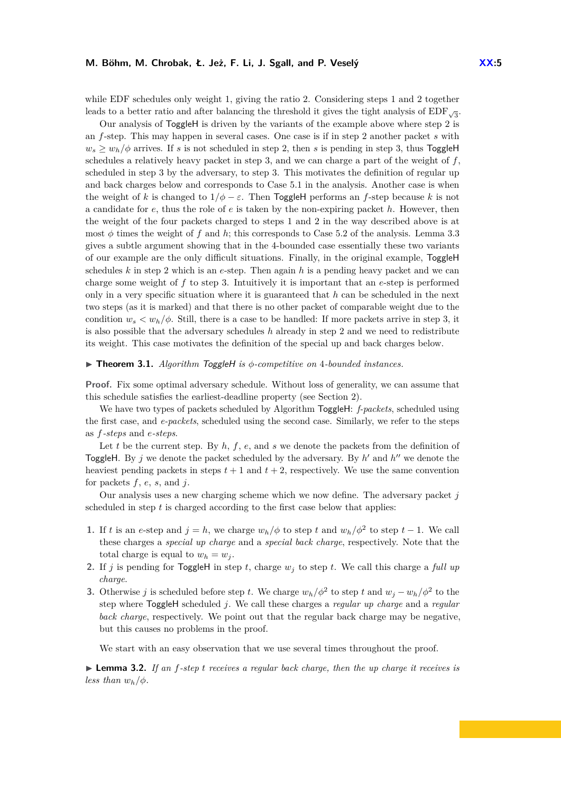while EDF schedules only weight 1, giving the ratio 2. Considering steps 1 and 2 together leads to a better ratio and after balancing the threshold it gives the tight analysis of  $\text{EDF}_{\sqrt{3}}$ .

Our analysis of ToggleH is driven by the variants of the example above where step 2 is an *f*-step. This may happen in several cases. One case is if in step 2 another packet *s* with  $w_s \geq w_h/\phi$  arrives. If *s* is not scheduled in step 2, then *s* is pending in step 3, thus ToggleH schedules a relatively heavy packet in step 3, and we can charge a part of the weight of *f*, scheduled in step 3 by the adversary, to step 3. This motivates the definition of regular up and back charges below and corresponds to Case 5.1 in the analysis. Another case is when the weight of *k* is changed to  $1/\phi - \varepsilon$ . Then ToggleH performs an *f*-step because *k* is not a candidate for *e*, thus the role of *e* is taken by the non-expiring packet *h*. However, then the weight of the four packets charged to steps 1 and 2 in the way described above is at most  $\phi$  times the weight of  $f$  and  $h$ ; this corresponds to Case 5.2 of the analysis. Lemma [3.3](#page-6-0) gives a subtle argument showing that in the 4-bounded case essentially these two variants of our example are the only difficult situations. Finally, in the original example, ToggleH schedules *k* in step 2 which is an *e*-step. Then again *h* is a pending heavy packet and we can charge some weight of *f* to step 3. Intuitively it is important that an *e*-step is performed only in a very specific situation where it is guaranteed that *h* can be scheduled in the next two steps (as it is marked) and that there is no other packet of comparable weight due to the condition  $w_s < w_h/\phi$ . Still, there is a case to be handled: If more packets arrive in step 3, it is also possible that the adversary schedules *h* already in step 2 and we need to redistribute its weight. This case motivates the definition of the special up and back charges below.

#### I **Theorem 3.1.** *Algorithm* ToggleH *is φ-competitive on* 4*-bounded instances.*

Proof. Fix some optimal adversary schedule. Without loss of generality, we can assume that this schedule satisfies the earliest-deadline property (see Section [2\)](#page-2-0).

We have two types of packets scheduled by Algorithm ToggleH: *f-packets*, scheduled using the first case, and *e-packets*, scheduled using the second case. Similarly, we refer to the steps as *f-steps* and *e-steps*.

Let  $t$  be the current step. By  $h$ ,  $f$ ,  $e$ , and  $s$  we denote the packets from the definition of ToggleH. By  $j$  we denote the packet scheduled by the adversary. By  $h'$  and  $h''$  we denote the heaviest pending packets in steps  $t + 1$  and  $t + 2$ , respectively. We use the same convention for packets *f*, *e*, *s*, and *j*.

Our analysis uses a new charging scheme which we now define. The adversary packet *j* scheduled in step *t* is charged according to the first case below that applies:

- **1.** If *t* is an *e*-step and  $j = h$ , we charge  $w_h/\phi$  to step *t* and  $w_h/\phi^2$  to step  $t 1$ . We call these charges a *special up charge* and a *special back charge*, respectively. Note that the total charge is equal to  $w_h = w_j$ .
- **2.** If *j* is pending for ToggleH in step *t*, charge *w<sup>j</sup>* to step *t*. We call this charge a *full up charge*.
- **3.** Otherwise *j* is scheduled before step *t*. We charge  $w_h/\phi^2$  to step *t* and  $w_j w_h/\phi^2$  to the step where ToggleH scheduled *j*. We call these charges a *regular up charge* and a *regular back charge*, respectively. We point out that the regular back charge may be negative, but this causes no problems in the proof.

We start with an easy observation that we use several times throughout the proof.

<span id="page-4-0"></span>▶ **Lemma 3.2.** *If an f-step t receives a regular back charge, then the up charge it receives is less than*  $w_h/\phi$ *.*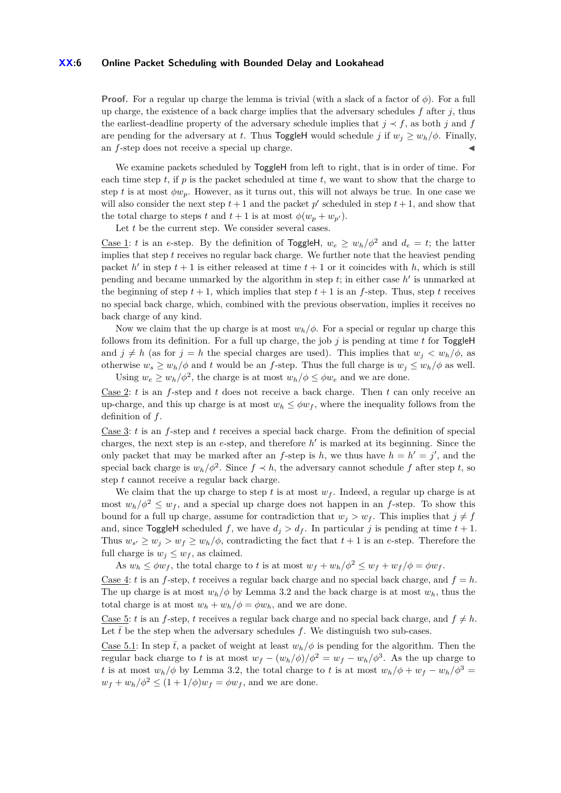#### **XX:6 Online Packet Scheduling with Bounded Delay and Lookahead**

**Proof.** For a regular up charge the lemma is trivial (with a slack of a factor of *φ*). For a full up charge, the existence of a back charge implies that the adversary schedules  $f$  after  $j$ , thus the earliest-deadline property of the adversary schedule implies that  $j \prec f$ , as both *j* and *f* are pending for the adversary at *t*. Thus **ToggleH** would schedule *j* if  $w_j \geq w_h/\phi$ . Finally, an  $f$ -step does not receive a special up charge.

We examine packets scheduled by  $\neg$  ToggleH from left to right, that is in order of time. For each time step  $t$ , if  $p$  is the packet scheduled at time  $t$ , we want to show that the charge to step *t* is at most  $\phi w_p$ . However, as it turns out, this will not always be true. In one case we will also consider the next step  $t + 1$  and the packet  $p'$  scheduled in step  $t + 1$ , and show that the total charge to steps *t* and  $t + 1$  is at most  $\phi(w_p + w_{p'})$ .

Let *t* be the current step. We consider several cases.

Case 1: *t* is an *e*-step. By the definition of ToggleH,  $w_e \geq w_h/\phi^2$  and  $d_e = t$ ; the latter implies that step *t* receives no regular back charge. We further note that the heaviest pending packet  $h'$  in step  $t + 1$  is either released at time  $t + 1$  or it coincides with h, which is still pending and became unmarked by the algorithm in step  $t$ ; in either case  $h'$  is unmarked at the beginning of step  $t + 1$ , which implies that step  $t + 1$  is an *f*-step. Thus, step *t* receives no special back charge, which, combined with the previous observation, implies it receives no back charge of any kind.

Now we claim that the up charge is at most  $w_h/\phi$ . For a special or regular up charge this follows from its definition. For a full up charge, the job  $j$  is pending at time  $t$  for ToggleH and  $j \neq h$  (as for  $j = h$  the special charges are used). This implies that  $w_j < w_h/\phi$ , as otherwise  $w_s \geq w_h/\phi$  and *t* would be an *f*-step. Thus the full charge is  $w_j \leq w_h/\phi$  as well. Using  $w_e \geq w_h / \phi^2$ , the charge is at most  $w_h / \phi \leq \phi w_e$  and we are done.

Case 2: *t* is an *f*-step and *t* does not receive a back charge. Then *t* can only receive an up-charge, and this up charge is at most  $w_h \leq \phi w_f$ , where the inequality follows from the definition of *f*.

Case 3: *t* is an *f*-step and *t* receives a special back charge. From the definition of special charges, the next step is an  $e$ -step, and therefore  $h'$  is marked at its beginning. Since the only packet that may be marked after an *f*-step is *h*, we thus have  $h = h' = j'$ , and the special back charge is  $w_h/\phi^2$ . Since  $f \prec h$ , the adversary cannot schedule f after step t, so step *t* cannot receive a regular back charge.

We claim that the up charge to step  $t$  is at most  $w_f$ . Indeed, a regular up charge is at most  $w_h/\phi^2 \leq w_f$ , and a special up charge does not happen in an *f*-step. To show this bound for a full up charge, assume for contradiction that  $w_j > w_f$ . This implies that  $j \neq f$ and, since ToggleH scheduled *f*, we have  $d_j > d_f$ . In particular *j* is pending at time  $t + 1$ . Thus  $w_{s'} \geq w_j > w_f \geq w_h/\phi$ , contradicting the fact that  $t+1$  is an *e*-step. Therefore the full charge is  $w_j \leq w_f$ , as claimed.

As  $w_h \leq \phi w_f$ , the total charge to *t* is at most  $w_f + w_h/\phi^2 \leq w_f + w_f/\phi = \phi w_f$ .

<u>Case 4</u>: *t* is an *f*-step, *t* receives a regular back charge and no special back charge, and  $f = h$ . The up charge is at most  $w_h/\phi$  by Lemma [3.2](#page-4-0) and the back charge is at most  $w_h$ , thus the total charge is at most  $w_h + w_h / \phi = \phi w_h$ , and we are done.

Case 5: *t* is an *f*-step, *t* receives a regular back charge and no special back charge, and  $f \neq h$ . Let  $\bar{t}$  be the step when the adversary schedules  $f$ . We distinguish two sub-cases.

Case 5.1: In step  $\bar{t}$ , a packet of weight at least  $w_h/\phi$  is pending for the algorithm. Then the regular back charge to *t* is at most  $w_f - (w_h/\phi)/\phi^2 = w_f - w_h/\phi^3$ . As the up charge to *t* is at most  $w_h/\phi$  by Lemma [3.2,](#page-4-0) the total charge to *t* is at most  $w_h/\phi + w_f - w_h/\phi^3$  $w_f + w_h/\phi^2 \leq (1 + 1/\phi)w_f = \phi w_f$ , and we are done.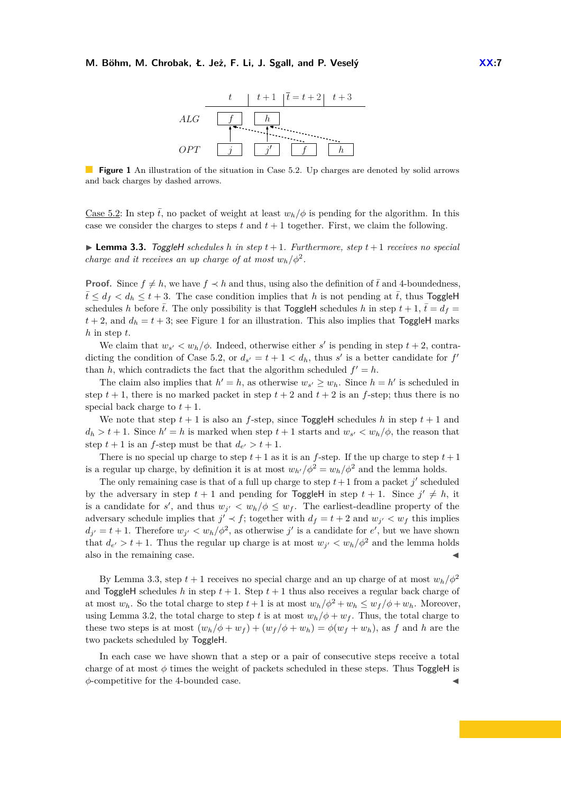

<span id="page-6-1"></span>**Figure 1** An illustration of the situation in Case 5.2. Up charges are denoted by solid arrows and back charges by dashed arrows.

Case 5.2: In step  $\bar{t}$ , no packet of weight at least  $w_h/\phi$  is pending for the algorithm. In this case we consider the charges to steps  $t$  and  $t + 1$  together. First, we claim the following.

<span id="page-6-0"></span> $\blacktriangleright$  **Lemma 3.3.** ToggleH schedules h in step  $t+1$ . Furthermore, step  $t+1$  receives no special *charge and it receives an up charge of at most*  $w_h/\phi^2$ *.* 

**Proof.** Since  $f \neq h$ , we have  $f \prec h$  and thus, using also the definition of  $\bar{t}$  and 4-boundedness,  $\bar{t} \leq d_f < d_h \leq t + 3$ . The case condition implies that *h* is not pending at  $\bar{t}$ , thus ToggleH schedules *h* before  $\bar{t}$ . The only possibility is that ToggleH schedules *h* in step  $t + 1$ ,  $\bar{t} = d_f =$  $t + 2$ , and  $d_h = t + 3$ ; see Figure [1](#page-6-1) for an illustration. This also implies that ToggleH marks *h* in step *t*.

We claim that  $w_{s'} < w_h/\phi$ . Indeed, otherwise either *s'* is pending in step  $t + 2$ , contradicting the condition of Case 5.2, or  $d_{s'} = t + 1 < d_h$ , thus *s'* is a better candidate for  $f'$ than *h*, which contradicts the fact that the algorithm scheduled  $f' = h$ .

The claim also implies that  $h' = h$ , as otherwise  $w_{s'} \geq w_h$ . Since  $h = h'$  is scheduled in step  $t + 1$ , there is no marked packet in step  $t + 2$  and  $t + 2$  is an *f*-step; thus there is no special back charge to  $t + 1$ .

We note that step  $t + 1$  is also an *f*-step, since ToggleH schedules *h* in step  $t + 1$  and  $d_h > t + 1$ . Since  $h' = h$  is marked when step  $t + 1$  starts and  $w_{s'} < w_h / \phi$ , the reason that step  $t + 1$  is an *f*-step must be that  $d_{e'} > t + 1$ .

There is no special up charge to step  $t+1$  as it is an *f*-step. If the up charge to step  $t+1$ is a regular up charge, by definition it is at most  $w_{h'}/\phi^2 = w_h/\phi^2$  and the lemma holds.

The only remaining case is that of a full up charge to step  $t+1$  from a packet *j'* scheduled by the adversary in step  $t + 1$  and pending for **ToggleH** in step  $t + 1$ . Since  $j' \neq h$ , it is a candidate for *s'*, and thus  $w_{j'} < w_h/\phi \leq w_f$ . The earliest-deadline property of the adversary schedule implies that  $j' \prec f$ ; together with  $d_f = t + 2$  and  $w_{j'} < w_f$  this implies  $d_{j'} = t + 1$ . Therefore  $w_{j'} < w_h / \phi^2$ , as otherwise *j*' is a candidate for *e'*, but we have shown that  $d_{e'} > t + 1$ . Thus the regular up charge is at most  $w_{j'} < w_h / \phi^2$  and the lemma holds also in the remaining case.

By Lemma [3.3,](#page-6-0) step  $t + 1$  receives no special charge and an up charge of at most  $w_h/\phi^2$ and ToggleH schedules h in step  $t + 1$ . Step  $t + 1$  thus also receives a regular back charge of at most  $w_h$ . So the total charge to step  $t+1$  is at most  $w_h/\phi^2 + w_h \leq w_f/\phi + w_h$ . Moreover, using Lemma [3.2,](#page-4-0) the total charge to step t is at most  $w_h/\phi + w_f$ . Thus, the total charge to these two steps is at most  $(w_h/\phi + w_f) + (w_f/\phi + w_h) = \phi(w_f + w_h)$ , as f and h are the two packets scheduled by ToggleH.

In each case we have shown that a step or a pair of consecutive steps receive a total charge of at most  $\phi$  times the weight of packets scheduled in these steps. Thus ToggleH is *φ*-competitive for the 4-bounded case. J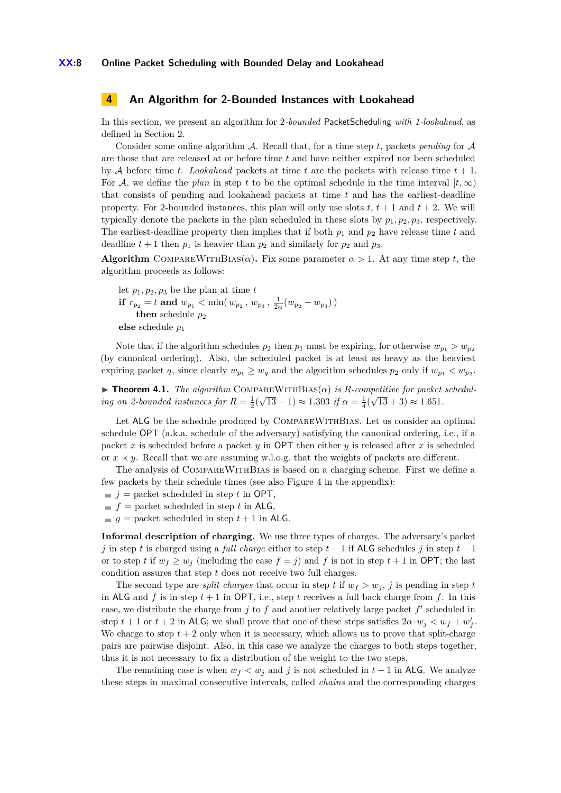### <span id="page-7-0"></span>**4 An Algorithm for 2-Bounded Instances with Lookahead**

In this section, we present an algorithm for 2*-bounded* PacketScheduling *with 1-lookahead*, as defined in Section [2.](#page-2-0)

Consider some online algorithm A. Recall that, for a time step *t*, packets *pending* for A are those that are released at or before time *t* and have neither expired nor been scheduled by A before time *t*. *Lookahead* packets at time *t* are the packets with release time  $t + 1$ . For A, we define the *plan* in step t to be the optimal schedule in the time interval  $[t, \infty)$ that consists of pending and lookahead packets at time *t* and has the earliest-deadline property. For 2-bounded instances, this plan will only use slots  $t$ ,  $t + 1$  and  $t + 2$ . We will typically denote the packets in the plan scheduled in these slots by  $p_1, p_2, p_3$ , respectively. The earliest-deadline property then implies that if both  $p_1$  and  $p_2$  have release time  $t$  and deadline  $t + 1$  then  $p_1$  is heavier than  $p_2$  and similarly for  $p_2$  and  $p_3$ .

**Algorithm** COMPAREWITHBIAS( $\alpha$ ). Fix some parameter  $\alpha > 1$ . At any time step *t*, the algorithm proceeds as follows:

let  $p_1, p_2, p_3$  be the plan at time  $t$ **if**  $r_{p_2} = t$  and  $w_{p_1} < \min(w_{p_2}, w_{p_3}, \frac{1}{2\alpha}(w_{p_2} + w_{p_3}))$ **then** schedule  $p_2$ **else** schedule *p*<sup>1</sup>

Note that if the algorithm schedules  $p_2$  then  $p_1$  must be expiring, for otherwise  $w_{p_1} > w_{p_2}$ (by canonical ordering). Also, the scheduled packet is at least as heavy as the heaviest expiring packet *q*, since clearly  $w_{p_1} \geq w_q$  and the algorithm schedules  $p_2$  only if  $w_{p_1} < w_{p_2}$ .

 $\blacktriangleright$  **Theorem 4.1.** *The algorithm* COMPAREWITHBIAS( $\alpha$ ) *is R*-competitive for packet schedul*ing on 2-bounded instances for*  $R = \frac{1}{2}(\sqrt{13} - 1) \approx 1.303$  *if*  $\alpha = \frac{1}{4}(\sqrt{13} + 3) \approx 1.651$ *.* 

Let ALG be the schedule produced by COMPAREWITHBIAS. Let us consider an optimal schedule OPT (a.k.a. schedule of the adversary) satisfying the canonical ordering, i.e., if a packet *x* is scheduled before a packet *y* in OPT then either *y* is released after *x* is scheduled or  $x \prec y$ . Recall that we are assuming w.l.o.g. that the weights of packets are different.

The analysis of CompareWithBias is based on a charging scheme. First we define a few packets by their schedule times (see also Figure [4](#page-12-0) in the appendix):

 $\blacksquare$  *j* = packet scheduled in step *t* in OPT,

- $f =$  packet scheduled in step *t* in ALG,
- $g =$  packet scheduled in step  $t + 1$  in ALG.

**Informal description of charging.** We use three types of charges. The adversary's packet *j* in step *t* is charged using a *full charge* either to step *t* − 1 if ALG schedules *j* in step *t* − 1 or to step *t* if  $w_f \geq w_j$  (including the case  $f = j$ ) and *f* is not in step  $t + 1$  in OPT; the last condition assures that step *t* does not receive two full charges.

The second type are *split charges* that occur in step *t* if  $w_f > w_i$ , *j* is pending in step *t* in ALG and  $f$  is in step  $t + 1$  in OPT, i.e., step  $t$  receives a full back charge from  $f$ . In this case, we distribute the charge from  $j$  to  $f$  and another relatively large packet  $f'$  scheduled in step  $t + 1$  or  $t + 2$  in ALG; we shall prove that one of these steps satisfies  $2\alpha \cdot w_j < w_f + w'_f$ . We charge to step  $t + 2$  only when it is necessary, which allows us to prove that split-charge pairs are pairwise disjoint. Also, in this case we analyze the charges to both steps together, thus it is not necessary to fix a distribution of the weight to the two steps.

The remaining case is when  $w_f < w_j$  and *j* is not scheduled in  $t - 1$  in ALG. We analyze these steps in maximal consecutive intervals, called *chains* and the corresponding charges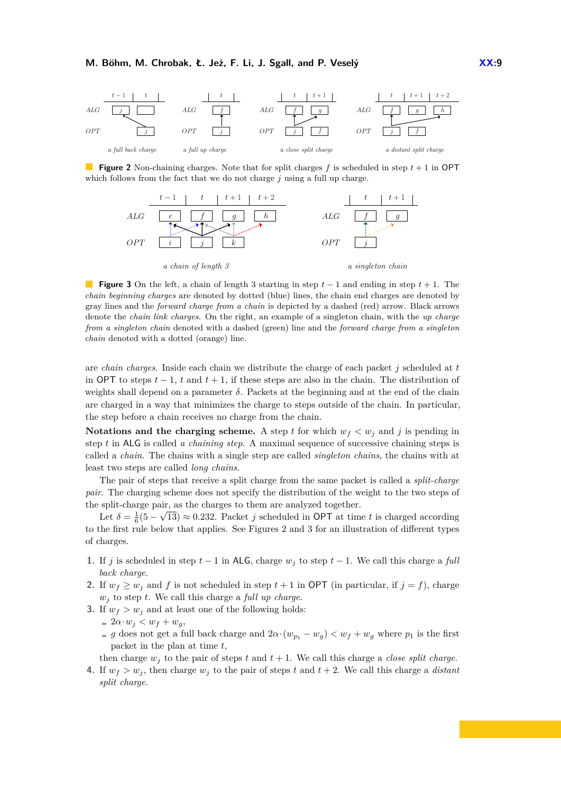<span id="page-8-0"></span>

<span id="page-8-1"></span>**Figure 2** Non-chaining charges. Note that for split charges  $f$  is scheduled in step  $t + 1$  in OPT which follows from the fact that we do not charge *j* using a full up charge.



**Figure 3** On the left, a chain of length 3 starting in step *t* − 1 and ending in step *t* + 1. The *chain beginning charges* are denoted by dotted (blue) lines, the chain end charges are denoted by gray lines and the *forward charge from a chain* is depicted by a dashed (red) arrow. Black arrows denote the *chain link charges*. On the right, an example of a singleton chain, with the *up charge from a singleton chain* denoted with a dashed (green) line and the *forward charge from a singleton chain* denoted with a dotted (orange) line.

are *chain charges*. Inside each chain we distribute the charge of each packet *j* scheduled at *t* in OPT to steps  $t - 1$ ,  $t$  and  $t + 1$ , if these steps are also in the chain. The distribution of weights shall depend on a parameter  $\delta$ . Packets at the beginning and at the end of the chain are charged in a way that minimizes the charge to steps outside of the chain. In particular, the step before a chain receives no charge from the chain.

**Notations and the charging scheme.** A step *t* for which  $w_f < w_j$  and *j* is pending in step *t* in ALG is called *a chaining step*. A maximal sequence of successive chaining steps is called a *chain*. The chains with a single step are called *singleton chains*, the chains with at least two steps are called *long chains*.

The pair of steps that receive a split charge from the same packet is called a *split-charge pair*. The charging scheme does not specify the distribution of the weight to the two steps of the split-charge pair, as the charges to them are analyzed together.

Let  $\delta = \frac{1}{6}(5 - \sqrt{13}) \approx 0.232$ . Packet *j* scheduled in OPT at time *t* is charged according to the first rule below that applies. See Figures [2](#page-8-0) and [3](#page-8-1) for an illustration of different types of charges.

- <span id="page-8-2"></span>**1.** If *j* is scheduled in step  $t-1$  in ALG, charge  $w_j$  to step  $t-1$ . We call this charge a *full back charge*.
- <span id="page-8-3"></span>**2.** If  $w_f \geq w_j$  and *f* is not scheduled in step  $t + 1$  in OPT (in particular, if  $j = f$ ), charge *w<sup>j</sup>* to step *t*. We call this charge a *full up charge*.
- <span id="page-8-4"></span>**3.** If  $w_f > w_j$  and at least one of the following holds:
	- $= 2\alpha \cdot w_j < w_f + w_g,$
	- *g* does not get a full back charge and  $2\alpha \cdot (w_{p_1} w_q) < w_f + w_q$  where  $p_1$  is the first packet in the plan at time *t*,

then charge  $w_j$  to the pair of steps t and  $t + 1$ . We call this charge a *close split charge*.

**4.** If  $w_f > w_j$ , then charge  $w_j$  to the pair of steps *t* and  $t + 2$ . We call this charge a *distant split charge*.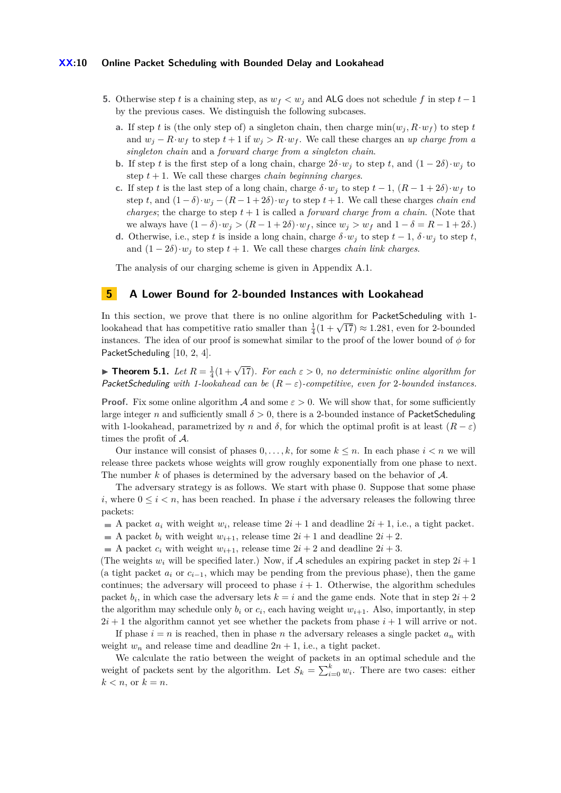#### **XX:10 Online Packet Scheduling with Bounded Delay and Lookahead**

- <span id="page-9-2"></span><span id="page-9-1"></span>**5.** Otherwise step *t* is a chaining step, as  $w_f < w_i$  and ALG does not schedule f in step  $t-1$ by the previous cases. We distinguish the following subcases.
	- **a.** If step *t* is (the only step of) a singleton chain, then charge  $\min(w_i, R \cdot w_f)$  to step *t* and  $w_i - R \cdot w_f$  to step  $t + 1$  if  $w_i > R \cdot w_f$ . We call these charges an *up charge from a singleton chain* and a *forward charge from a singleton chain*.
	- **b.** If step *t* is the first step of a long chain, charge  $2\delta \cdot w_j$  to step *t*, and  $(1 2\delta) \cdot w_j$  to step  $t + 1$ . We call these charges *chain beginning charges*.
	- **c.** If step *t* is the last step of a long chain, charge  $\delta \cdot w_j$  to step  $t-1$ ,  $(R-1+2\delta) \cdot w_f$  to step *t*, and  $(1 - \delta) \cdot w_j - (R - 1 + 2\delta) \cdot w_f$  to step *t* + 1. We call these charges *chain end charges*; the charge to step  $t + 1$  is called a *forward charge from a chain*. (Note that we always have  $(1 - \delta) \cdot w_j > (R - 1 + 2\delta) \cdot w_f$ , since  $w_j > w_f$  and  $1 - \delta = R - 1 + 2\delta$ .)
	- **d.** Otherwise, i.e., step *t* is inside a long chain, charge  $\delta \cdot w_j$  to step  $t-1$ ,  $\delta \cdot w_j$  to step *t*, and  $(1 - 2\delta) \cdot w_i$  to step  $t + 1$ . We call these charges *chain link charges*.

<span id="page-9-3"></span>The analysis of our charging scheme is given in Appendix [A.1.](#page-12-1)

## <span id="page-9-0"></span>**5 A Lower Bound for 2-bounded Instances with Lookahead**

In this section, we prove that there is no online algorithm for PacketScheduling with 1-In this section, we prove that there is no online algorithm for Facketscheduling with 1-<br>lookahead that has competitive ratio smaller than  $\frac{1}{4}(1+\sqrt{17}) \approx 1.281$ , even for 2-bounded instances. The idea of our proof is somewhat similar to the proof of the lower bound of  $\phi$  for PacketScheduling [\[10,](#page-11-1) [2,](#page-11-2) [4\]](#page-11-3).

**Findment 1. Findment 1.** *Let*  $R = \frac{1}{4}(1 + \sqrt{17})$ *. For each*  $\varepsilon > 0$ *, no deterministic online algorithm for* PacketScheduling *with 1-lookahead can be* (*R* − *ε*)*-competitive, even for* 2*-bounded instances.*

**Proof.** Fix some online algorithm A and some  $\varepsilon > 0$ . We will show that, for some sufficiently large integer *n* and sufficiently small  $\delta > 0$ , there is a 2-bounded instance of PacketScheduling with 1-lookahead, parametrized by *n* and  $\delta$ , for which the optimal profit is at least  $(R - \varepsilon)$ times the profit of A.

Our instance will consist of phases  $0, \ldots, k$ , for some  $k \leq n$ . In each phase  $i < n$  we will release three packets whose weights will grow roughly exponentially from one phase to next. The number *k* of phases is determined by the adversary based on the behavior of A.

The adversary strategy is as follows. We start with phase 0. Suppose that some phase *i*, where  $0 \leq i \leq n$ , has been reached. In phase *i* the adversary releases the following three packets:

- A packet  $a_i$  with weight  $w_i$ , release time  $2i + 1$  and deadline  $2i + 1$ , i.e., a tight packet.
- A packet  $b_i$  with weight  $w_{i+1}$ , release time  $2i + 1$  and deadline  $2i + 2$ .
- A packet  $c_i$  with weight  $w_{i+1}$ , release time  $2i + 2$  and deadline  $2i + 3$ .

(The weights  $w_i$  will be specified later.) Now, if A schedules an expiring packet in step  $2i + 1$ (a tight packet  $a_i$  or  $c_{i-1}$ , which may be pending from the previous phase), then the game continues; the adversary will proceed to phase  $i + 1$ . Otherwise, the algorithm schedules packet  $b_i$ , in which case the adversary lets  $k = i$  and the game ends. Note that in step  $2i + 2$ the algorithm may schedule only  $b_i$  or  $c_i$ , each having weight  $w_{i+1}$ . Also, importantly, in step  $2i + 1$  the algorithm cannot yet see whether the packets from phase  $i + 1$  will arrive or not.

If phase  $i = n$  is reached, then in phase *n* the adversary releases a single packet  $a_n$  with weight  $w_n$  and release time and deadline  $2n + 1$ , i.e., a tight packet.

We calculate the ratio between the weight of packets in an optimal schedule and the weight of packets sent by the algorithm. Let  $S_k = \sum_{i=0}^k w_i$ . There are two cases: either  $k < n$ , or  $k = n$ .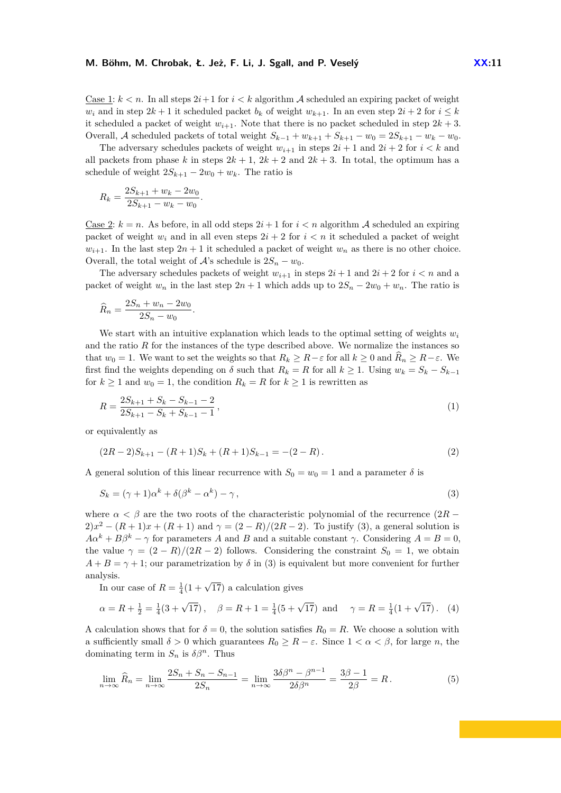Case 1:  $k < n$ . In all steps  $2i+1$  for  $i < k$  algorithm A scheduled an expiring packet of weight *w<sub>i</sub>* and in step  $2k + 1$  it scheduled packet *b<sub>k</sub>* of weight  $w_{k+1}$ . In an even step  $2i + 2$  for  $i \leq k$ it scheduled a packet of weight  $w_{i+1}$ . Note that there is no packet scheduled in step  $2k + 3$ . Overall, A scheduled packets of total weight  $S_{k-1} + w_{k+1} + S_{k+1} - w_0 = 2S_{k+1} - w_k - w_0$ .

The adversary schedules packets of weight  $w_{i+1}$  in steps  $2i + 1$  and  $2i + 2$  for  $i < k$  and all packets from phase *k* in steps  $2k + 1$ ,  $2k + 2$  and  $2k + 3$ . In total, the optimum has a schedule of weight  $2S_{k+1} - 2w_0 + w_k$ . The ratio is

$$
R_k = \frac{2S_{k+1} + w_k - 2w_0}{2S_{k+1} - w_k - w_0}.
$$

Case 2:  $k = n$ . As before, in all odd steps  $2i + 1$  for  $i < n$  algorithm A scheduled an expiring packet of weight  $w_i$  and in all even steps  $2i + 2$  for  $i < n$  it scheduled a packet of weight  $w_{i+1}$ . In the last step  $2n+1$  it scheduled a packet of weight  $w_n$  as there is no other choice. Overall, the total weight of  $A$ 's schedule is  $2S_n - w_0$ .

The adversary schedules packets of weight  $w_{i+1}$  in steps  $2i + 1$  and  $2i + 2$  for  $i < n$  and a packet of weight  $w_n$  in the last step  $2n + 1$  which adds up to  $2S_n - 2w_0 + w_n$ . The ratio is

$$
\widehat{R}_n = \frac{2S_n + w_n - 2w_0}{2S_n - w_0}.
$$

We start with an intuitive explanation which leads to the optimal setting of weights  $w_i$ and the ratio  $R$  for the instances of the type described above. We normalize the instances so that  $w_0 = 1$ . We want to set the weights so that  $R_k \geq R - \varepsilon$  for all  $k \geq 0$  and  $\overline{R}_n \geq R - \varepsilon$ . We first find the weights depending on  $\delta$  such that  $R_k = R$  for all  $k \geq 1$ . Using  $w_k = S_k - S_{k-1}$ for  $k \ge 1$  and  $w_0 = 1$ , the condition  $R_k = R$  for  $k \ge 1$  is rewritten as

<span id="page-10-2"></span>
$$
R = \frac{2S_{k+1} + S_k - S_{k-1} - 2}{2S_{k+1} - S_k + S_{k-1} - 1},\tag{1}
$$

or equivalently as

<span id="page-10-0"></span>
$$
(2R-2)S_{k+1} - (R+1)S_k + (R+1)S_{k-1} = -(2-R). \tag{2}
$$

A general solution of this linear recurrence with  $S_0 = w_0 = 1$  and a parameter  $\delta$  is

$$
S_k = (\gamma + 1)\alpha^k + \delta(\beta^k - \alpha^k) - \gamma,\tag{3}
$$

where  $\alpha < \beta$  are the two roots of the characteristic polynomial of the recurrence  $(2R - )$  $2)x^{2} - (R + 1)x + (R + 1)$  and  $\gamma = (2 - R)/(2R - 2)$ . To justify [\(3\)](#page-10-0), a general solution is  $A\alpha^{k} + B\beta^{k} - \gamma$  for parameters *A* and *B* and a suitable constant *γ*. Considering  $A = B = 0$ , the value  $\gamma = (2 - R)/(2R - 2)$  follows. Considering the constraint  $S_0 = 1$ , we obtain  $A + B = \gamma + 1$ ; our parametrization by  $\delta$  in [\(3\)](#page-10-0) is equivalent but more convenient for further analysis.

<span id="page-10-1"></span>In our case of  $R = \frac{1}{4}(1 + \sqrt{17})$  a calculation gives

$$
\alpha = R + \frac{1}{2} = \frac{1}{4}(3 + \sqrt{17}), \quad \beta = R + 1 = \frac{1}{4}(5 + \sqrt{17})
$$
 and  $\gamma = R = \frac{1}{4}(1 + \sqrt{17}).$  (4)

A calculation shows that for  $\delta = 0$ , the solution satisfies  $R_0 = R$ . We choose a solution with a sufficiently small  $\delta > 0$  which guarantees  $R_0 \geq R - \varepsilon$ . Since  $1 < \alpha < \beta$ , for large *n*, the dominating term in  $S_n$  is  $\delta \beta^n$ . Thus

<span id="page-10-3"></span>
$$
\lim_{n \to \infty} \hat{R}_n = \lim_{n \to \infty} \frac{2S_n + S_n - S_{n-1}}{2S_n} = \lim_{n \to \infty} \frac{3\delta\beta^n - \beta^{n-1}}{2\delta\beta^n} = \frac{3\beta - 1}{2\beta} = R. \tag{5}
$$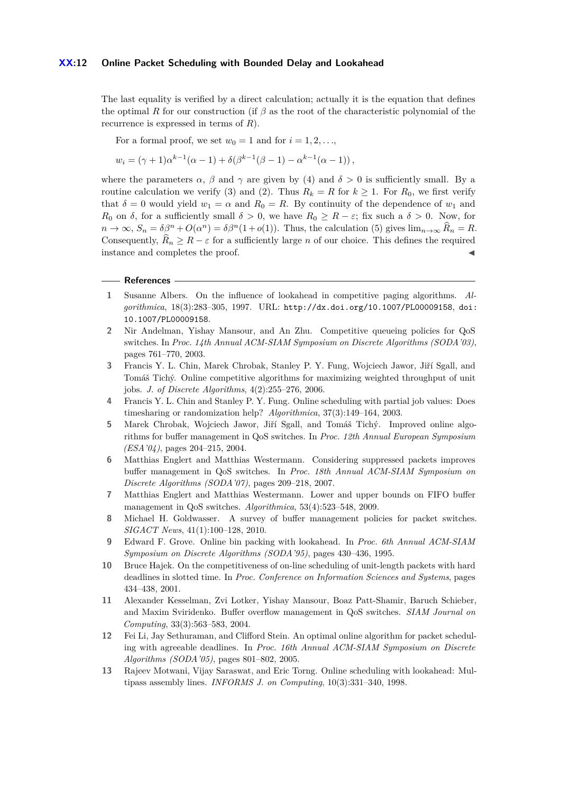#### **XX:12 Online Packet Scheduling with Bounded Delay and Lookahead**

The last equality is verified by a direct calculation; actually it is the equation that defines the optimal *R* for our construction (if *β* as the root of the characteristic polynomial of the recurrence is expressed in terms of *R*).

For a formal proof, we set  $w_0 = 1$  and for  $i = 1, 2, \ldots$ ,

$$
w_i = (\gamma + 1)\alpha^{k-1}(\alpha - 1) + \delta(\beta^{k-1}(\beta - 1) - \alpha^{k-1}(\alpha - 1)),
$$

where the parameters  $\alpha$ ,  $\beta$  and  $\gamma$  are given by [\(4\)](#page-10-1) and  $\delta > 0$  is sufficiently small. By a routine calculation we verify [\(3\)](#page-10-0) and [\(2\)](#page-10-2). Thus  $R_k = R$  for  $k \geq 1$ . For  $R_0$ , we first verify that  $\delta = 0$  would yield  $w_1 = \alpha$  and  $R_0 = R$ . By continuity of the dependence of  $w_1$  and *R*<sub>0</sub> on *δ*, for a sufficiently small  $\delta > 0$ , we have  $R_0 \geq R - \varepsilon$ ; fix such a  $\delta > 0$ . Now, for  $n \to \infty$ ,  $S_n = \delta \beta^n + O(\alpha^n) = \delta \beta^n (1 + o(1))$ . Thus, the calculation [\(5\)](#page-10-3) gives  $\lim_{n \to \infty} \widehat{R}_n = R$ . Consequently,  $R_n \geq R - \varepsilon$  for a sufficiently large *n* of our choice. This defines the required instance and completes the proof.

#### **References**

- <span id="page-11-10"></span>**1** Susanne Albers. On the influence of lookahead in competitive paging algorithms. *Algorithmica*, 18(3):283–305, 1997. URL: <http://dx.doi.org/10.1007/PL00009158>, [doi:](http://dx.doi.org/10.1007/PL00009158) [10.1007/PL00009158](http://dx.doi.org/10.1007/PL00009158).
- <span id="page-11-2"></span>**2** Nir Andelman, Yishay Mansour, and An Zhu. Competitive queueing policies for QoS switches. In *Proc. 14th Annual ACM-SIAM Symposium on Discrete Algorithms (SODA'03)*, pages 761–770, 2003.
- <span id="page-11-4"></span>**3** Francis Y. L. Chin, Marek Chrobak, Stanley P. Y. Fung, Wojciech Jawor, Jiří Sgall, and Tomáš Tichý. Online competitive algorithms for maximizing weighted throughput of unit jobs. *J. of Discrete Algorithms*, 4(2):255–276, 2006.
- <span id="page-11-3"></span>**4** Francis Y. L. Chin and Stanley P. Y. Fung. Online scheduling with partial job values: Does timesharing or randomization help? *Algorithmica*, 37(3):149–164, 2003.
- <span id="page-11-7"></span>**5** Marek Chrobak, Wojciech Jawor, Jiří Sgall, and Tomáš Tichý. Improved online algorithms for buffer management in QoS switches. In *Proc. 12th Annual European Symposium (ESA'04)*, pages 204–215, 2004.
- <span id="page-11-0"></span>**6** Matthias Englert and Matthias Westermann. Considering suppressed packets improves buffer management in QoS switches. In *Proc. 18th Annual ACM-SIAM Symposium on Discrete Algorithms (SODA'07)*, pages 209–218, 2007.
- <span id="page-11-8"></span>**7** Matthias Englert and Matthias Westermann. Lower and upper bounds on FIFO buffer management in QoS switches. *Algorithmica*, 53(4):523–548, 2009.
- <span id="page-11-5"></span>**8** Michael H. Goldwasser. A survey of buffer management policies for packet switches. *SIGACT News*, 41(1):100–128, 2010.
- <span id="page-11-12"></span>**9** Edward F. Grove. Online bin packing with lookahead. In *Proc. 6th Annual ACM-SIAM Symposium on Discrete Algorithms (SODA'95)*, pages 430–436, 1995.
- <span id="page-11-1"></span>**10** Bruce Hajek. On the competitiveness of on-line scheduling of unit-length packets with hard deadlines in slotted time. In *Proc. Conference on Information Sciences and Systems*, pages 434–438, 2001.
- <span id="page-11-6"></span>**11** Alexander Kesselman, Zvi Lotker, Yishay Mansour, Boaz Patt-Shamir, Baruch Schieber, and Maxim Sviridenko. Buffer overflow management in QoS switches. *SIAM Journal on Computing*, 33(3):563–583, 2004.
- <span id="page-11-9"></span>**12** Fei Li, Jay Sethuraman, and Clifford Stein. An optimal online algorithm for packet scheduling with agreeable deadlines. In *Proc. 16th Annual ACM-SIAM Symposium on Discrete Algorithms (SODA'05)*, pages 801–802, 2005.
- <span id="page-11-11"></span>**13** Rajeev Motwani, Vijay Saraswat, and Eric Torng. Online scheduling with lookahead: Multipass assembly lines. *INFORMS J. on Computing*, 10(3):331–340, 1998.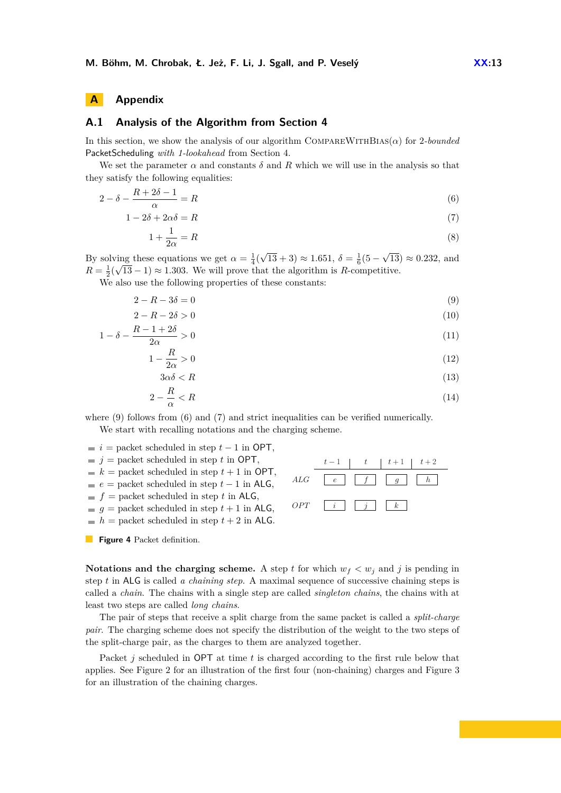## **A Appendix**

## <span id="page-12-1"></span>**A.1 Analysis of the Algorithm from Section [4](#page-7-0)**

In this section, we show the analysis of our algorithm COMPAREWITHBIAS( $\alpha$ ) for 2*-bounded* PacketScheduling *with 1-lookahead* from Section [4.](#page-7-0)

We set the parameter  $\alpha$  and constants  $\delta$  and  $R$  which we will use in the analysis so that they satisfy the following equalities:

$$
2 - \delta - \frac{R + 2\delta - 1}{\alpha} = R \tag{6}
$$

$$
1 - 2\delta + 2\alpha\delta = R\tag{7}
$$

<span id="page-12-3"></span>
$$
1 + \frac{1}{2\alpha} = R \tag{8}
$$

By solving these equations we get  $\alpha = \frac{1}{4}$ √  $\overline{13} + 3 \approx 1.651, \delta = \frac{1}{6}(5 -$ √  $\lim_{\alpha \to 0}$  these equations we get  $\alpha = \frac{1}{4}(\sqrt{13} + 3) \approx 1.651$ ,  $\delta = \frac{1}{6}(5 - \sqrt{13}) \approx 0.232$ , and  $R = \frac{1}{2}(\sqrt{13} - 1) \approx 1.303$ . We will prove that the algorithm is *R*-competitive.

We also use the following properties of these constants:

$$
2 - R - 3\delta = 0\tag{9}
$$

$$
2 - R - 2\delta > 0\tag{10}
$$

$$
1 - \delta - \frac{R - 1 + 2\delta}{2\alpha} > 0\tag{11}
$$

$$
1 - \frac{R}{2\alpha} > 0\tag{12}
$$

$$
3\alpha\delta < R \tag{13}
$$

$$
2 - \frac{R}{\alpha} < R \tag{14}
$$

where  $(9)$  follows from  $(6)$  and  $(7)$  and strict inequalities can be verified numerically. We start with recalling notations and the charging scheme.

- <span id="page-12-0"></span> $\blacksquare$  *i* = packet scheduled in step *t* − 1 in OPT,
- $\blacksquare$  *j* = packet scheduled in step *t* in OPT,

$$
k =
$$
 packet scheduled in step  $t + 1$  in OPT,

$$
e =
$$
 packet scheduled in step  $t - 1$  in ALG,

 $f =$  packet scheduled in step *t* in ALG,

- $g =$  packet scheduled in step  $t + 1$  in ALG,
- $h =$  packet scheduled in step  $t + 2$  in ALG.

**Figure 4** Packet definition.

<span id="page-12-10"></span><span id="page-12-9"></span><span id="page-12-8"></span><span id="page-12-7"></span><span id="page-12-6"></span><span id="page-12-5"></span><span id="page-12-4"></span><span id="page-12-2"></span>

**Notations and the charging scheme.** A step *t* for which  $w_f < w_j$  and *j* is pending in step *t* in ALG is called *a chaining step*. A maximal sequence of successive chaining steps is called a *chain*. The chains with a single step are called *singleton chains*, the chains with at least two steps are called *long chains*.

The pair of steps that receive a split charge from the same packet is called a *split-charge pair*. The charging scheme does not specify the distribution of the weight to the two steps of the split-charge pair, as the charges to them are analyzed together.

Packet *j* scheduled in OPT at time *t* is charged according to the first rule below that applies. See Figure [2](#page-8-0) for an illustration of the first four (non-chaining) charges and Figure [3](#page-8-1) for an illustration of the chaining charges.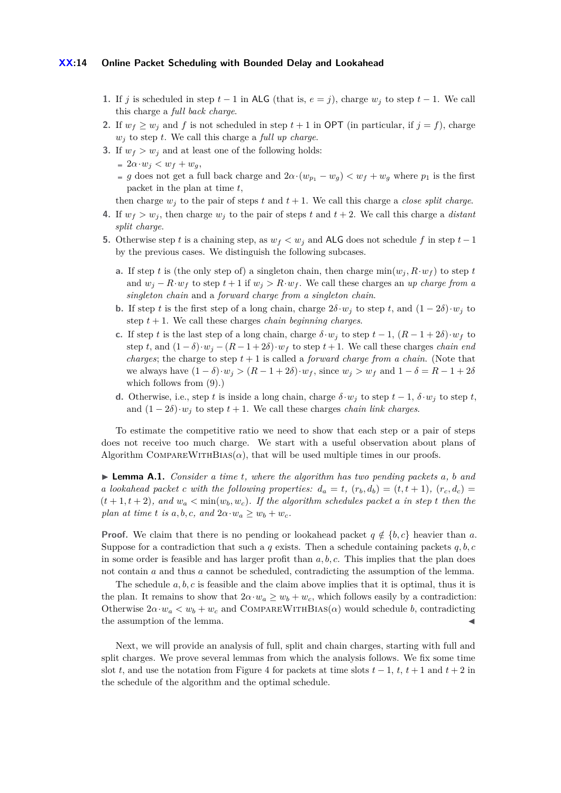#### **XX:14 Online Packet Scheduling with Bounded Delay and Lookahead**

- **1.** If *j* is scheduled in step  $t-1$  in ALG (that is,  $e = j$ ), charge  $w_i$  to step  $t-1$ . We call this charge a *full back charge*.
- **2.** If  $w_f \geq w_j$  and *f* is not scheduled in step  $t + 1$  in OPT (in particular, if  $j = f$ ), charge *w<sup>j</sup>* to step *t*. We call this charge a *full up charge*.
- **3.** If  $w_f > w_j$  and at least one of the following holds:
	- $= 2\alpha \cdot w_j < w_f + w_g,$
	- *g* does not get a full back charge and  $2\alpha \cdot (w_{p_1} w_g) < w_f + w_g$  where  $p_1$  is the first packet in the plan at time *t*,

then charge  $w_j$  to the pair of steps t and  $t + 1$ . We call this charge a *close split charge*.

- **4.** If  $w_f > w_j$ , then charge  $w_j$  to the pair of steps *t* and  $t + 2$ . We call this charge a *distant split charge*.
- **5.** Otherwise step *t* is a chaining step, as  $w_f < w_j$  and ALG does not schedule f in step  $t-1$ by the previous cases. We distinguish the following subcases.
	- **a.** If step *t* is (the only step of) a singleton chain, then charge  $\min(w_i, R \cdot w_f)$  to step *t* and  $w_j - R \cdot w_f$  to step  $t + 1$  if  $w_j > R \cdot w_f$ . We call these charges an *up charge from a singleton chain* and a *forward charge from a singleton chain*.
	- **b.** If step *t* is the first step of a long chain, charge  $2\delta \cdot w_j$  to step *t*, and  $(1 2\delta) \cdot w_j$  to step  $t + 1$ . We call these charges *chain beginning charges*.
	- **c.** If step *t* is the last step of a long chain, charge  $\delta \cdot w_j$  to step  $t 1$ ,  $(R 1 + 2\delta) \cdot w_f$  to step *t*, and  $(1 - \delta) \cdot w_j - (R - 1 + 2\delta) \cdot w_f$  to step *t* + 1. We call these charges *chain end charges*; the charge to step  $t + 1$  is called a *forward charge from a chain*. (Note that we always have  $(1 - \delta) \cdot w_j > (R - 1 + 2\delta) \cdot w_f$ , since  $w_j > w_f$  and  $1 - \delta = R - 1 + 2\delta$ which follows from [\(9\)](#page-12-2).)
	- **d.** Otherwise, i.e., step *t* is inside a long chain, charge  $\delta \cdot w_i$  to step  $t 1$ ,  $\delta \cdot w_i$  to step *t*, and  $(1 - 2\delta) \cdot w_i$  to step  $t + 1$ . We call these charges *chain link charges*.

To estimate the competitive ratio we need to show that each step or a pair of steps does not receive too much charge. We start with a useful observation about plans of Algorithm COMPAREWITHBIAS( $\alpha$ ), that will be used multiple times in our proofs.

<span id="page-13-0"></span>I **Lemma A.1.** *Consider a time t, where the algorithm has two pending packets a, b and a* lookahead packet *c* with the following properties:  $d_a = t$ ,  $(r_b, d_b) = (t, t + 1)$ ,  $(r_c, d_c) =$  $(t+1, t+2)$ *, and*  $w_a < \min(w_b, w_c)$ *. If the algorithm schedules packet a in step t then the plan at time t is*  $a, b, c, and 2\alpha \cdot w_a \geq w_b + w_c$ .

**Proof.** We claim that there is no pending or lookahead packet  $q \notin \{b, c\}$  heavier than a. Suppose for a contradiction that such a  $q$  exists. Then a schedule containing packets  $q, b, c$ in some order is feasible and has larger profit than *a, b, c*. This implies that the plan does not contain *a* and thus *a* cannot be scheduled, contradicting the assumption of the lemma.

The schedule *a, b, c* is feasible and the claim above implies that it is optimal, thus it is the plan. It remains to show that  $2\alpha \cdot w_a \geq w_b + w_c$ , which follows easily by a contradiction: Otherwise  $2\alpha \cdot w_a < w_b + w_c$  and COMPAREWITHBIAS( $\alpha$ ) would schedule *b*, contradicting the assumption of the lemma.

Next, we will provide an analysis of full, split and chain charges, starting with full and split charges. We prove several lemmas from which the analysis follows. We fix some time slot *t*, and use the notation from Figure [4](#page-12-0) for packets at time slots  $t - 1$ ,  $t$ ,  $t + 1$  and  $t + 2$  in the schedule of the algorithm and the optimal schedule.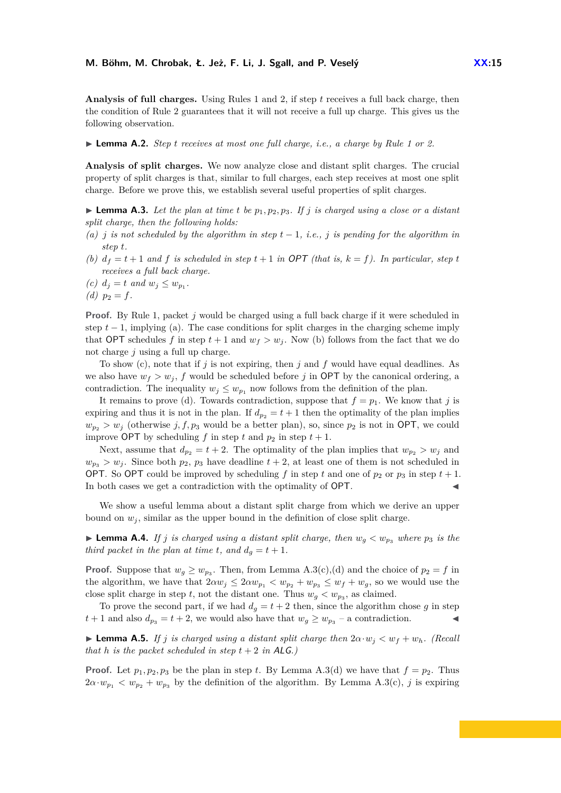**Analysis of full charges.** Using Rules [1](#page-8-2) and [2,](#page-8-3) if step *t* receives a full back charge, then the condition of Rule [2](#page-8-3) guarantees that it will not receive a full up charge. This gives us the following observation.

<span id="page-14-2"></span>I **Lemma A.2.** *Step t receives at most one full charge, i.e., a charge by Rule [1](#page-8-2) or [2.](#page-8-3)*

**Analysis of split charges.** We now analyze close and distant split charges. The crucial property of split charges is that, similar to full charges, each step receives at most one split charge. Before we prove this, we establish several useful properties of split charges.

<span id="page-14-0"></span>**Lemma A.3.** Let the plan at time t be  $p_1, p_2, p_3$ . If j is charged using a close or a distant *split charge, then the following holds:*

- *(a) j is not scheduled by the algorithm in step*  $t-1$ , *i.e.*, *j is pending for the algorithm in step t.*
- *(b)*  $d_f = t + 1$  *and*  $f$  *is scheduled in step*  $t + 1$  *in* OPT *(that is,*  $k = f$ *). In particular, step*  $t$ *receives a full back charge.*
- (*c*)  $d_j = t$  *and*  $w_j \leq w_{p_1}$ .
- *(d)*  $p_2 = f$ .

**Proof.** By Rule [1,](#page-8-2) packet *j* would be charged using a full back charge if it were scheduled in step  $t-1$ , implying (a). The case conditions for split charges in the charging scheme imply that OPT schedules f in step  $t + 1$  and  $w_f > w_i$ . Now (b) follows from the fact that we do not charge *j* using a full up charge.

To show (c), note that if *j* is not expiring, then *j* and *f* would have equal deadlines. As we also have  $w_f > w_i$ , f would be scheduled before j in OPT by the canonical ordering, a contradiction. The inequality  $w_j \leq w_{p_1}$  now follows from the definition of the plan.

It remains to prove (d). Towards contradiction, suppose that  $f = p_1$ . We know that *j* is expiring and thus it is not in the plan. If  $d_{p_2} = t + 1$  then the optimality of the plan implies  $w_{p_2} > w_j$  (otherwise *j, f, p*<sub>3</sub> would be a better plan), so, since  $p_2$  is not in OPT, we could improve OPT by scheduling *f* in step *t* and  $p_2$  in step  $t + 1$ .

Next, assume that  $d_{p_2} = t + 2$ . The optimality of the plan implies that  $w_{p_2} > w_j$  and  $w_{p_3} > w_j$ . Since both  $p_2, p_3$  have deadline  $t + 2$ , at least one of them is not scheduled in OPT. So OPT could be improved by scheduling f in step t and one of  $p_2$  or  $p_3$  in step  $t + 1$ . In both cases we get a contradiction with the optimality of OPT.

We show a useful lemma about a distant split charge from which we derive an upper bound on  $w_i$ , similar as the upper bound in the definition of close split charge.

<span id="page-14-1"></span>**Example 1.4.** If *j* is charged using a distant split charge, then  $w_q < w_{p_3}$  where  $p_3$  is the *third packet in the plan at time t, and*  $d_q = t + 1$ *.* 

**Proof.** Suppose that  $w_g \geq w_{p_3}$ . Then, from Lemma [A.3\(](#page-14-0)c),(d) and the choice of  $p_2 = f$  in the algorithm, we have that  $2\alpha w_j \leq 2\alpha w_{p_1} < w_{p_2} + w_{p_3} \leq w_f + w_g$ , so we would use the close split charge in step *t*, not the distant one. Thus  $w_g < w_{p_3}$ , as claimed.

To prove the second part, if we had  $d_q = t + 2$  then, since the algorithm chose g in step *t* + 1 and also  $d_{p_3} = t + 2$ , we would also have that  $w_g \geq w_{p_3}$  – a contradiction.

<span id="page-14-3"></span>**Example 1.5.** *If j* is charged using a distant split charge then  $2\alpha \cdot w_j < w_f + w_h$ *. (Recall that h is the packet scheduled in step*  $t + 2$  *in*  $ALG$ *.*)

**Proof.** Let  $p_1, p_2, p_3$  be the plan in step *t*. By Lemma [A.3\(](#page-14-0)d) we have that  $f = p_2$ . Thus  $2\alpha \cdot w_{p_1} < w_{p_2} + w_{p_3}$  by the definition of the algorithm. By Lemma [A.3\(](#page-14-0)c), *j* is expiring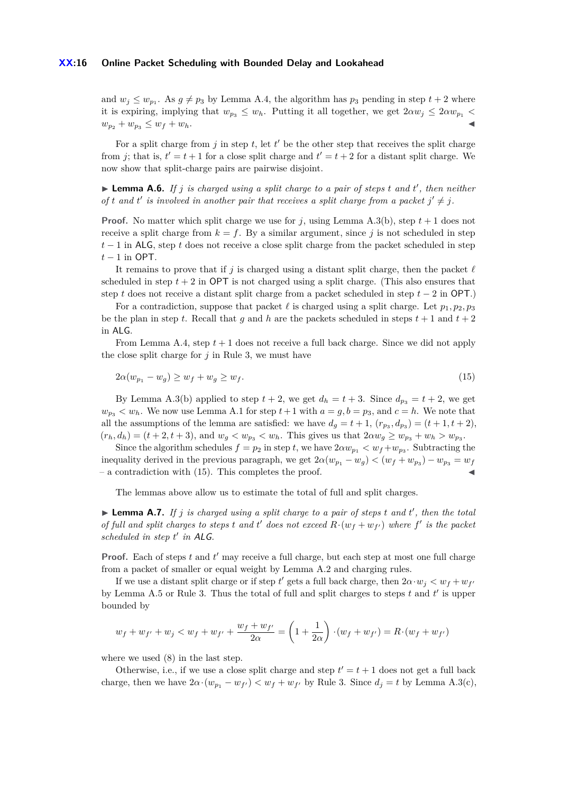#### **XX:16 Online Packet Scheduling with Bounded Delay and Lookahead**

and  $w_j \leq w_{p_1}$ . As  $g \neq p_3$  by Lemma [A.4,](#page-14-1) the algorithm has  $p_3$  pending in step  $t + 2$  where it is expiring, implying that  $w_{p_3} \leq w_h$ . Putting it all together, we get  $2\alpha w_j \leq 2\alpha w_{p_1}$  $w_{p_2} + w_{p_3} \leq w_f + w_h.$ 

For a split charge from  $j$  in step  $t$ , let  $t'$  be the other step that receives the split charge from *j*; that is,  $t' = t + 1$  for a close split charge and  $t' = t + 2$  for a distant split charge. We now show that split-charge pairs are pairwise disjoint.

<span id="page-15-1"></span>▶ **Lemma A.6.** *If j is charged using a split charge to a pair of steps t and t', then neither of t* and *t*' *is involved in another pair that receives a split charge from a packet*  $j' \neq j$ .

**Proof.** No matter which split charge we use for *j*, using Lemma [A.3\(](#page-14-0)b), step  $t + 1$  does not receive a split charge from  $k = f$ . By a similar argument, since *j* is not scheduled in step *t* − 1 in ALG, step *t* does not receive a close split charge from the packet scheduled in step *t* − 1 in OPT.

It remains to prove that if *j* is charged using a distant split charge, then the packet  $\ell$ scheduled in step  $t + 2$  in **OPT** is not charged using a split charge. (This also ensures that step *t* does not receive a distant split charge from a packet scheduled in step *t* − 2 in OPT.)

For a contradiction, suppose that packet  $\ell$  is charged using a split charge. Let  $p_1, p_2, p_3$ be the plan in step *t*. Recall that *q* and *h* are the packets scheduled in steps  $t + 1$  and  $t + 2$ in ALG.

From Lemma [A.4,](#page-14-1) step  $t + 1$  does not receive a full back charge. Since we did not apply the close split charge for  $j$  in Rule [3,](#page-8-4) we must have

<span id="page-15-0"></span>
$$
2\alpha(w_{p_1} - w_g) \ge w_f + w_g \ge w_f. \tag{15}
$$

By Lemma [A.3\(](#page-14-0)b) applied to step  $t + 2$ , we get  $d_h = t + 3$ . Since  $d_{p_3} = t + 2$ , we get  $w_{p3} < w_h$ . We now use Lemma [A.1](#page-13-0) for step  $t+1$  with  $a = g, b = p_3$ , and  $c = h$ . We note that all the assumptions of the lemma are satisfied: we have  $d_g = t + 1$ ,  $(r_{p_3}, d_{p_3}) = (t + 1, t + 2)$ ,  $(r_h, d_h) = (t + 2, t + 3)$ , and  $w_g < w_{p_3} < w_h$ . This gives us that  $2\alpha w_g \geq w_{p_3} + w_h > w_{p_3}$ .

Since the algorithm schedules  $f = p_2$  in step *t*, we have  $2\alpha w_{p_1} < w_f + w_{p_3}$ . Subtracting the inequality derived in the previous paragraph, we get  $2\alpha(w_{p_1} - w_g) < (w_f + w_{p_3}) - w_{p_3} = w_f$  $-$  a contradiction with  $(15)$ . This completes the proof.

The lemmas above allow us to estimate the total of full and split charges.

<span id="page-15-2"></span> $\blacktriangleright$  **Lemma A.7.** If *j* is charged using a split charge to a pair of steps t and t', then the total *of full and split charges to steps t and t' does not exceed*  $R \cdot (w_f + w_{f'})$  *where f' is the packet scheduled in step t* 0 *in* ALG*.*

**Proof.** Each of steps  $t$  and  $t'$  may receive a full charge, but each step at most one full charge from a packet of smaller or equal weight by Lemma [A.2](#page-14-2) and charging rules.

If we use a distant split charge or if step  $t'$  gets a full back charge, then  $2\alpha \cdot w_j < w_f + w_{f'}$ by Lemma [A.5](#page-14-3) or Rule [3.](#page-8-4) Thus the total of full and split charges to steps  $t$  and  $t'$  is upper bounded by

$$
w_f + w_{f'} + w_j < w_f + w_{f'} + \frac{w_f + w_{f'}}{2\alpha} = \left(1 + \frac{1}{2\alpha}\right) \cdot (w_f + w_{f'}) = R \cdot (w_f + w_{f'})
$$

where we used [\(8\)](#page-12-5) in the last step.

Otherwise, i.e., if we use a close split charge and step  $t' = t + 1$  does not get a full back charge, then we have  $2\alpha \cdot (w_{p_1} - w_{f'}) < w_f + w_{f'}$  by Rule [3.](#page-8-4) Since  $d_j = t$  by Lemma [A.3\(](#page-14-0)c),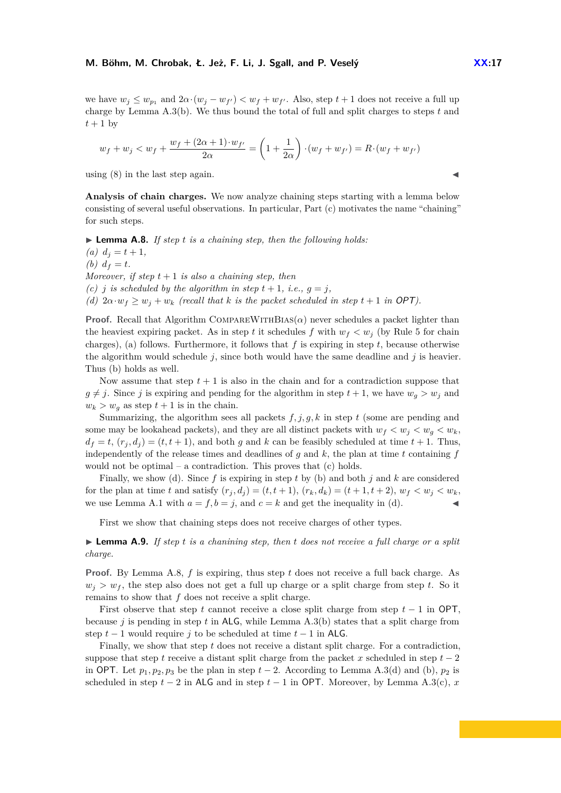#### **M. Böhm, M. Chrobak, Ł. Jeż, F. Li, J. Sgall, and P. Veselý <b>XX:17**

we have  $w_j \leq w_{p_1}$  and  $2\alpha \cdot (w_j - w_{f'}) < w_f + w_{f'}$ . Also, step  $t + 1$  does not receive a full up charge by Lemma [A.3\(](#page-14-0)b). We thus bound the total of full and split charges to steps *t* and  $t+1$  by

$$
w_f + w_j < w_f + \frac{w_f + (2\alpha + 1) \cdot w_{f'}}{2\alpha} = \left(1 + \frac{1}{2\alpha}\right) \cdot (w_f + w_{f'}) = R \cdot (w_f + w_{f'})
$$

using  $(8)$  in the last step again.

**Analysis of chain charges.** We now analyze chaining steps starting with a lemma below consisting of several useful observations. In particular, Part (c) motivates the name "chaining" for such steps.

<span id="page-16-0"></span>▶ **Lemma A.8.** *If step t is a chaining step, then the following holds:*  $(a) d<sub>j</sub> = t + 1,$ *(b)*  $d_f = t$ . *Moreover, if step*  $t + 1$  *is also a chaining step, then (c) j is scheduled by the algorithm in step*  $t + 1$ *, i.e.,*  $q = j$ *,* 

*(d)*  $2\alpha \cdot w_f \geq w_i + w_k$  *(recall that k is the packet scheduled in step t* + 1 *in* OPT).

**Proof.** Recall that Algorithm COMPAREWITHBIAS( $\alpha$ ) never schedules a packet lighter than the heaviest expiring packet. As in step *t* it schedules *f* with  $w_f < w_j$  (by Rule [5](#page-9-1) for chain charges), (a) follows. Furthermore, it follows that *f* is expiring in step *t*, because otherwise the algorithm would schedule  $j$ , since both would have the same deadline and  $j$  is heavier. Thus (b) holds as well.

Now assume that step  $t + 1$  is also in the chain and for a contradiction suppose that  $g \neq j$ . Since *j* is expiring and pending for the algorithm in step  $t + 1$ , we have  $w_q > w_j$  and  $w_k > w_g$  as step  $t + 1$  is in the chain.

Summarizing, the algorithm sees all packets  $f, j, g, k$  in step  $t$  (some are pending and some may be lookahead packets), and they are all distinct packets with  $w_f < w_i < w_g < w_k$ .  $d_f = t$ ,  $(r_i, d_i) = (t, t + 1)$ , and both *g* and *k* can be feasibly scheduled at time  $t + 1$ . Thus, independently of the release times and deadlines of  $g$  and  $k$ , the plan at time  $t$  containing  $f$ would not be optimal – a contradiction. This proves that (c) holds.

Finally, we show (d). Since *f* is expiring in step *t* by (b) and both *j* and *k* are considered for the plan at time t and satisfy  $(r_i, d_i) = (t, t + 1), (r_k, d_k) = (t + 1, t + 2), w_f < w_i < w_k$ we use Lemma [A.1](#page-13-0) with  $a = f, b = j$ , and  $c = k$  and get the inequality in (d).

First we show that chaining steps does not receive charges of other types.

<span id="page-16-1"></span>► **Lemma A.9.** *If step t is a chanining step, then t does not receive a full charge or a split charge.*

**Proof.** By Lemma [A.8,](#page-16-0) *f* is expiring, thus step *t* does not receive a full back charge. As  $w_i > w_f$ , the step also does not get a full up charge or a split charge from step *t*. So it remains to show that *f* does not receive a split charge.

First observe that step *t* cannot receive a close split charge from step *t* − 1 in OPT, because *j* is pending in step *t* in ALG, while Lemma [A.3\(](#page-14-0)b) states that a split charge from step  $t-1$  would require *j* to be scheduled at time  $t-1$  in ALG.

Finally, we show that step *t* does not receive a distant split charge. For a contradiction, suppose that step *t* receive a distant split charge from the packet *x* scheduled in step  $t - 2$ in OPT. Let  $p_1, p_2, p_3$  be the plan in step  $t-2$ . According to Lemma [A.3\(](#page-14-0)d) and (b),  $p_2$  is scheduled in step  $t - 2$  in ALG and in step  $t - 1$  in OPT. Moreover, by Lemma [A.3\(](#page-14-0)c),  $x$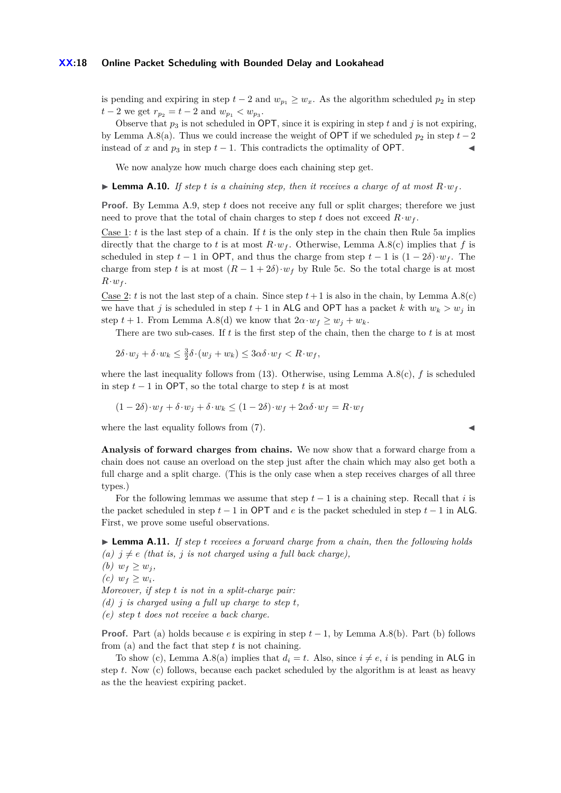#### **XX:18 Online Packet Scheduling with Bounded Delay and Lookahead**

is pending and expiring in step  $t - 2$  and  $w_{p_1} \geq w_x$ . As the algorithm scheduled  $p_2$  in step  $t-2$  we get  $r_{p_2} = t-2$  and  $w_{p_1} < w_{p_3}$ .

Observe that  $p_3$  is not scheduled in OPT, since it is expiring in step t and j is not expiring, by Lemma [A.8\(](#page-16-0)a). Thus we could increase the weight of **OPT** if we scheduled  $p_2$  in step  $t-2$ instead of *x* and  $p_3$  in step  $t-1$ . This contradicts the optimality of OPT.

We now analyze how much charge does each chaining step get.

<span id="page-17-1"></span>**Example A.10.** If step *t* is a chaining step, then it receives a charge of at most  $R \cdot w_f$ .

**Proof.** By Lemma [A.9,](#page-16-1) step *t* does not receive any full or split charges; therefore we just need to prove that the total of chain charges to step *t* does not exceed  $R \cdot w_f$ .

Case 1:  $t$  is the last step of a chain. If  $t$  is the only step in the chain then Rule [5a](#page-9-2) implies directly that the charge to *t* is at most  $R \cdot w_f$ . Otherwise, Lemma [A.8\(](#page-16-0)c) implies that *f* is scheduled in step  $t - 1$  in OPT, and thus the charge from step  $t - 1$  is  $(1 - 2\delta) \cdot w_f$ . The charge from step t is at most  $(R-1+2\delta) \cdot w_f$  by Rule [5c.](#page-9-3) So the total charge is at most  $R \cdot w_f$ .

Case 2: *t* is not the last step of a chain. Since step  $t+1$  is also in the chain, by Lemma [A.8\(](#page-16-0)c) we have that *j* is scheduled in step  $t + 1$  in ALG and OPT has a packet *k* with  $w_k > w_j$  in step  $t + 1$ . From Lemma [A.8\(](#page-16-0)d) we know that  $2\alpha \cdot w_f \geq w_j + w_k$ .

There are two sub-cases. If *t* is the first step of the chain, then the charge to *t* is at most

$$
2\delta \cdot w_j + \delta \cdot w_k \leq \frac{3}{2}\delta \cdot (w_j + w_k) \leq 3\alpha \delta \cdot w_f < R \cdot w_f,
$$

where the last inequality follows from  $(13)$ . Otherwise, using Lemma [A.8\(](#page-16-0)c),  $f$  is scheduled in step  $t - 1$  in OPT, so the total charge to step  $t$  is at most

$$
(1 - 2\delta) \cdot w_f + \delta \cdot w_j + \delta \cdot w_k \le (1 - 2\delta) \cdot w_f + 2\alpha \delta \cdot w_f = R \cdot w_f
$$

where the last equality follows from  $(7)$ .

**Analysis of forward charges from chains.** We now show that a forward charge from a chain does not cause an overload on the step just after the chain which may also get both a full charge and a split charge. (This is the only case when a step receives charges of all three types.)

For the following lemmas we assume that step  $t-1$  is a chaining step. Recall that *i* is the packet scheduled in step *t* − 1 in OPT and *e* is the packet scheduled in step *t* − 1 in ALG. First, we prove some useful observations.

<span id="page-17-0"></span>▶ **Lemma A.11.** *If step t receives a forward charge from a chain, then the following holds (a)*  $j \neq e$  *(that is, j is not charged using a full back charge),* 

- *(b)*  $w_f \geq w_j$ ,
- $(c)$   $w_f \geq w_i$ .

*Moreover, if step t is not in a split-charge pair:*

*(d) j is charged using a full up charge to step t,*

*(e) step t does not receive a back charge.*

**Proof.** Part (a) holds because *e* is expiring in step *t* − 1, by Lemma [A.8\(](#page-16-0)b). Part (b) follows from (a) and the fact that step *t* is not chaining.

To show (c), Lemma [A.8\(](#page-16-0)a) implies that  $d_i = t$ . Also, since  $i \neq e$ , *i* is pending in ALG in step *t*. Now (c) follows, because each packet scheduled by the algorithm is at least as heavy as the the heaviest expiring packet.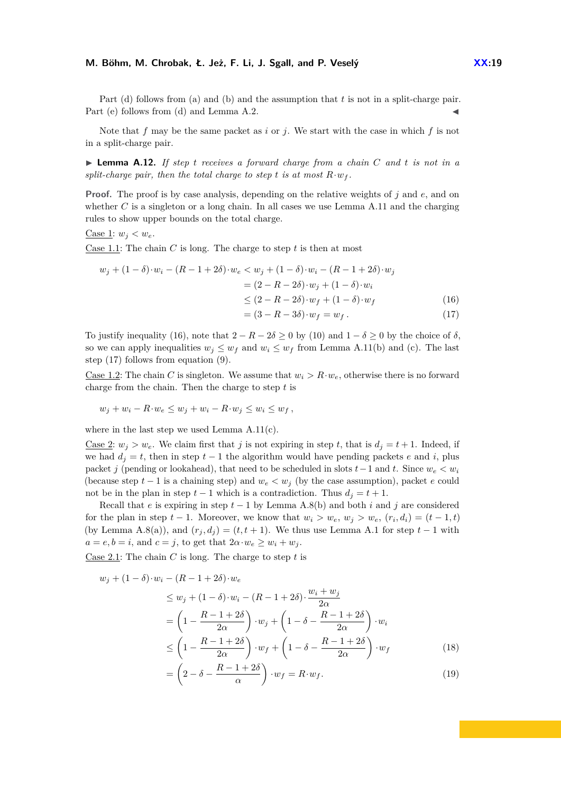#### **M. Böhm, M. Chrobak, Ł. Jeż, F. Li, J. Sgall, and P. Veselý <b>XX:19**

Part (d) follows from (a) and (b) and the assumption that *t* is not in a split-charge pair. Part (e) follows from (d) and Lemma  $A.2$ .

Note that *f* may be the same packet as *i* or *j*. We start with the case in which *f* is not in a split-charge pair.

<span id="page-18-4"></span>I **Lemma A.12.** *If step t receives a forward charge from a chain C and t is not in a split-charge pair, then the total charge to step t is at most*  $R \cdot w_f$ .

**Proof.** The proof is by case analysis, depending on the relative weights of *j* and *e*, and on whether *C* is a singleton or a long chain. In all cases we use Lemma [A.11](#page-17-0) and the charging rules to show upper bounds on the total charge.

Case 1:  $w_i < w_e$ .

Case 1.1: The chain *C* is long. The charge to step *t* is then at most

<span id="page-18-1"></span><span id="page-18-0"></span>
$$
w_j + (1 - \delta) \cdot w_i - (R - 1 + 2\delta) \cdot w_e < w_j + (1 - \delta) \cdot w_i - (R - 1 + 2\delta) \cdot w_j
$$
\n
$$
= (2 - R - 2\delta) \cdot w_j + (1 - \delta) \cdot w_i
$$
\n
$$
\leq (2 - R - 2\delta) \cdot w_f + (1 - \delta) \cdot w_f
$$
\n
$$
= (3 - R - 3\delta) \cdot w_f = w_f. \tag{16}
$$

To justify inequality [\(16\)](#page-18-0), note that  $2 - R - 2\delta \ge 0$  by [\(10\)](#page-12-7) and  $1 - \delta \ge 0$  by the choice of  $\delta$ , so we can apply inequalities  $w_j \leq w_f$  and  $w_i \leq w_f$  from Lemma [A.11\(](#page-17-0)b) and (c). The last step [\(17\)](#page-18-1) follows from equation [\(9\)](#page-12-2).

Case 1.2: The chain *C* is singleton. We assume that  $w_i > R \cdot w_e$ , otherwise there is no forward charge from the chain. Then the charge to step *t* is

$$
w_j + w_i - R \cdot w_e \le w_j + w_i - R \cdot w_j \le w_i \le w_f,
$$

where in the last step we used Lemma [A.11\(](#page-17-0)c).

<u>Case 2</u>:  $w_j > w_e$ . We claim first that *j* is not expiring in step *t*, that is  $d_j = t + 1$ . Indeed, if we had  $d<sub>j</sub> = t$ , then in step  $t - 1$  the algorithm would have pending packets *e* and *i*, plus packet *j* (pending or lookahead), that need to be scheduled in slots  $t-1$  and  $t$ . Since  $w_e < w_i$ (because step  $t - 1$  is a chaining step) and  $w_e < w_j$  (by the case assumption), packet *e* could not be in the plan in step  $t-1$  which is a contradiction. Thus  $d_i = t+1$ .

Recall that *e* is expiring in step *t* − 1 by Lemma [A.8\(](#page-16-0)b) and both *i* and *j* are considered for the plan in step  $t - 1$ . Moreover, we know that  $w_i > w_e$ ,  $w_j > w_e$ ,  $(r_i, d_i) = (t - 1, t)$ (by Lemma [A.8\(](#page-16-0)a)), and  $(r_j, d_j) = (t, t + 1)$ . We thus use Lemma [A.1](#page-13-0) for step  $t - 1$  with  $a = e, b = i$ , and  $c = j$ , to get that  $2a \cdot w_e \geq w_i + w_j$ .

Case 2.1: The chain *C* is long. The charge to step *t* is

<span id="page-18-3"></span><span id="page-18-2"></span>
$$
w_j + (1 - \delta) \cdot w_i - (R - 1 + 2\delta) \cdot w_e
$$
  
\n
$$
\leq w_j + (1 - \delta) \cdot w_i - (R - 1 + 2\delta) \cdot \frac{w_i + w_j}{2\alpha}
$$
  
\n
$$
= \left(1 - \frac{R - 1 + 2\delta}{2\alpha}\right) \cdot w_j + \left(1 - \delta - \frac{R - 1 + 2\delta}{2\alpha}\right) \cdot w_i
$$
  
\n
$$
\leq \left(1 - \frac{R - 1 + 2\delta}{2\alpha}\right) \cdot w_f + \left(1 - \delta - \frac{R - 1 + 2\delta}{2\alpha}\right) \cdot w_f
$$
  
\n
$$
= \left(2 - \delta - \frac{R - 1 + 2\delta}{\alpha}\right) \cdot w_f = R \cdot w_f.
$$
  
\n(19)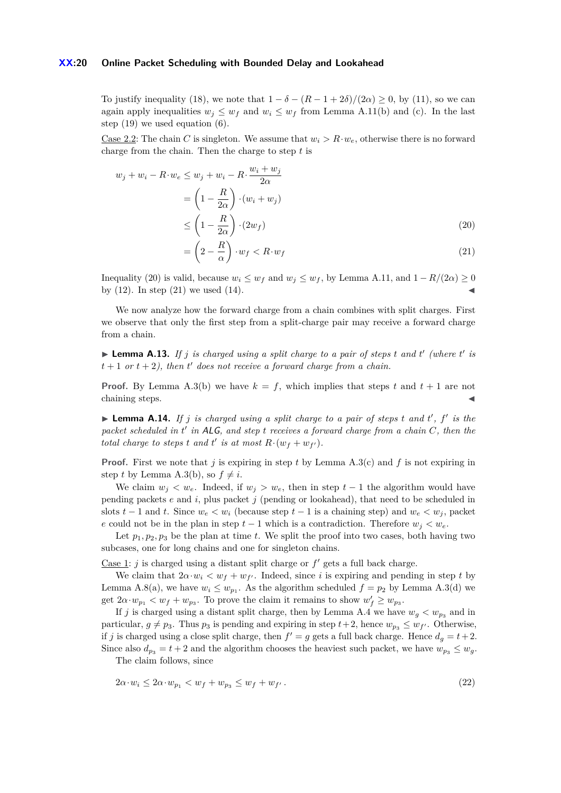#### **XX:20 Online Packet Scheduling with Bounded Delay and Lookahead**

=

To justify inequality [\(18\)](#page-18-2), we note that  $1 - \delta - (R - 1 + 2\delta)/(2\alpha) \geq 0$ , by [\(11\)](#page-12-8), so we can again apply inequalities  $w_j \leq w_f$  and  $w_i \leq w_f$  from Lemma [A.11\(](#page-17-0)b) and (c). In the last step [\(19\)](#page-18-3) we used equation [\(6\)](#page-12-3).

Case 2.2: The chain *C* is singleton. We assume that  $w_i > R \cdot w_e$ , otherwise there is no forward charge from the chain. Then the charge to step *t* is

$$
w_j + w_i - R \cdot w_e \le w_j + w_i - R \cdot \frac{w_i + w_j}{2\alpha}
$$
  
=  $\left(1 - \frac{R}{2\alpha}\right) \cdot (w_i + w_j)$   

$$
\le \left(1 - \frac{R}{2\alpha}\right) \cdot (2w_f)
$$
 (20)

<span id="page-19-1"></span><span id="page-19-0"></span>
$$
= \left(2 - \frac{R}{\alpha}\right) \cdot w_f < R \cdot w_f \tag{21}
$$

Inequality [\(20\)](#page-19-0) is valid, because  $w_i \leq w_f$  and  $w_j \leq w_f$ , by Lemma [A.11,](#page-17-0) and  $1 - R/(2\alpha) \geq 0$ by  $(12)$ . In step  $(21)$  we used  $(14)$ .

We now analyze how the forward charge from a chain combines with split charges. First we observe that only the first step from a split-charge pair may receive a forward charge from a chain.

<span id="page-19-3"></span>**Example 2.13.** If *j* is charged using a split charge to a pair of steps t and t' (where  $t'$  is  $t + 1$  *or*  $t + 2$ , *then*  $t'$  *does not receive a forward charge from a chain.* 

**Proof.** By Lemma [A.3\(](#page-14-0)b) we have  $k = f$ , which implies that steps  $t$  and  $t + 1$  are not chaining steps.

<span id="page-19-4"></span>**Example 2.14.** *If j is charged using a split charge to a pair of steps t and t', f' is the* packet scheduled in t' in ALG, and step *t* receives a forward charge from a chain C, then the *total charge to steps t and t' is at most*  $R \cdot (w_f + w_{f'})$ *.* 

**Proof.** First we note that *j* is expiring in step *t* by Lemma [A.3\(](#page-14-0)c) and *f* is not expiring in step *t* by Lemma [A.3\(](#page-14-0)b), so  $f \neq i$ .

We claim  $w_j < w_e$ . Indeed, if  $w_j > w_e$ , then in step  $t-1$  the algorithm would have pending packets *e* and *i*, plus packet *j* (pending or lookahead), that need to be scheduled in slots  $t-1$  and  $t$ . Since  $w_e < w_i$  (because step  $t-1$  is a chaining step) and  $w_e < w_i$ , packet *e* could not be in the plan in step  $t - 1$  which is a contradiction. Therefore  $w_i < w_e$ .

Let  $p_1, p_2, p_3$  be the plan at time *t*. We split the proof into two cases, both having two subcases, one for long chains and one for singleton chains.

Case 1:  $j$  is charged using a distant split charge or  $f'$  gets a full back charge.

We claim that  $2\alpha \cdot w_i < w_f + w_{f'}$ . Indeed, since *i* is expiring and pending in step *t* by Lemma [A.8\(](#page-16-0)a), we have  $w_i \leq w_{p_1}$ . As the algorithm scheduled  $f = p_2$  by Lemma [A.3\(](#page-14-0)d) we get  $2\alpha \cdot w_{p_1} < w_f + w_{p_3}$ . To prove the claim it remains to show  $w'_f \geq w_{p_3}$ .

If *j* is charged using a distant split charge, then by Lemma [A.4](#page-14-1) we have  $w_g < w_{p_3}$  and in particular,  $g \neq p_3$ . Thus  $p_3$  is pending and expiring in step  $t+2$ , hence  $w_{p_3} \leq w_{f'}$ . Otherwise, if *j* is charged using a close split charge, then  $f' = g$  gets a full back charge. Hence  $d_g = t + 2$ . Since also  $d_{p_3} = t + 2$  and the algorithm chooses the heaviest such packet, we have  $w_{p_3} \leq w_q$ .

<span id="page-19-2"></span>The claim follows, since

$$
2\alpha \cdot w_i \le 2\alpha \cdot w_{p_1} < w_f + w_{p_3} \le w_f + w_{f'} \,. \tag{22}
$$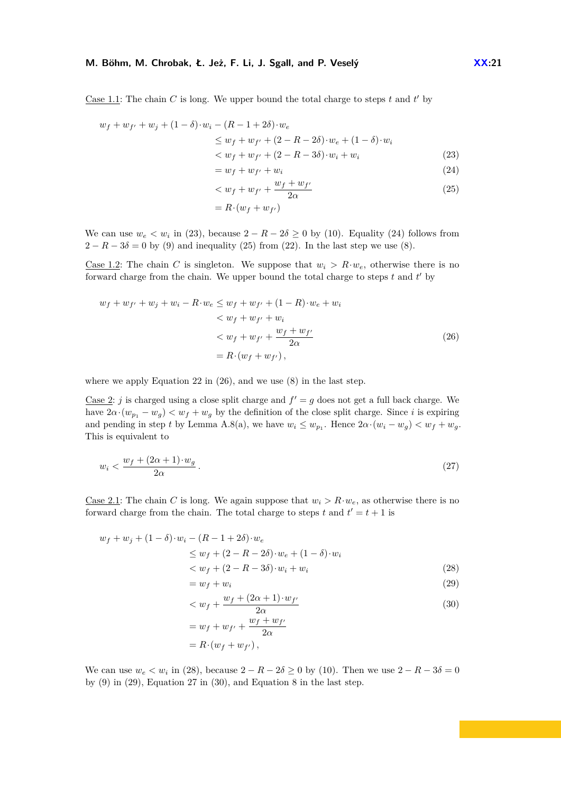#### **M. Böhm, M. Chrobak, Ł. Jeż, F. Li, J. Sgall, and P. Veselý <b>XX:21 XX:21**

Case 1.1: The chain  $C$  is long. We upper bound the total charge to steps  $t$  and  $t'$  by

$$
w_f + w_{f'} + w_j + (1 - \delta) \cdot w_i - (R - 1 + 2\delta) \cdot w_e
$$
  
\n
$$
\leq w_f + w_{f'} + (2 - R - 2\delta) \cdot w_e + (1 - \delta) \cdot w_i
$$
  
\n
$$
< w_f + w_{f'} + (2 - R - 3\delta) \cdot w_i + w_i
$$
\n(23)

<span id="page-20-1"></span><span id="page-20-0"></span>
$$
= w_f + w_{f'} + w_i \tag{24}
$$

<span id="page-20-2"></span>
$$
\langle w_f + w_{f'} + \frac{w_f + w_{f'}}{2\alpha} \tag{25}
$$

<span id="page-20-3"></span>
$$
= R \cdot (w_f + w_{f'})
$$

We can use  $w_e < w_i$  in [\(23\)](#page-20-0), because  $2 - R - 2\delta \ge 0$  by [\(10\)](#page-12-7). Equality [\(24\)](#page-20-1) follows from  $2 - R - 3\delta = 0$  by [\(9\)](#page-12-2) and inequality [\(25\)](#page-20-2) from [\(22\)](#page-19-2). In the last step we use [\(8\)](#page-12-5).

Case 1.2: The chain *C* is singleton. We suppose that  $w_i > R \cdot w_e$ , otherwise there is no forward charge from the chain. We upper bound the total charge to steps  $t$  and  $t'$  by

$$
w_f + w_{f'} + w_j + w_i - R \cdot w_e \le w_f + w_{f'} + (1 - R) \cdot w_e + w_i
$$
  

$$
< w_f + w_{f'} + w_i
$$
  

$$
< w_f + w_{f'} + \frac{w_f + w_{f'}}{2\alpha}
$$
  

$$
= R \cdot (w_f + w_{f'}),
$$
 (26)

where we apply Equation [22](#page-19-2) in  $(26)$ , and we use  $(8)$  in the last step.

Case 2: *j* is charged using a close split charge and  $f' = g$  does not get a full back charge. We have  $2\alpha \cdot (w_{p_1} - w_q) < w_f + w_q$  by the definition of the close split charge. Since *i* is expiring and pending in step *t* by Lemma [A.8\(](#page-16-0)a), we have  $w_i \leq w_{p_1}$ . Hence  $2\alpha \cdot (w_i - w_g) < w_f + w_g$ . This is equivalent to

<span id="page-20-6"></span>
$$
w_i < \frac{w_f + (2\alpha + 1) \cdot w_g}{2\alpha} \,. \tag{27}
$$

Case 2.1: The chain *C* is long. We again suppose that  $w_i > R \cdot w_e$ , as otherwise there is no forward charge from the chain. The total charge to steps  $t$  and  $t' = t + 1$  is

$$
w_f + w_j + (1 - \delta) \cdot w_i - (R - 1 + 2\delta) \cdot w_e
$$
  
\n
$$
\leq w_f + (2 - R - 2\delta) \cdot w_e + (1 - \delta) \cdot w_i
$$
  
\n
$$
< w_f + (2 - R - 3\delta) \cdot w_i + w_i
$$
\n(28)

<span id="page-20-7"></span><span id="page-20-5"></span><span id="page-20-4"></span>
$$
= w_f + w_i \tag{29}
$$

$$
\langle w_f + \frac{w_f + (2\alpha + 1) \cdot w_{f'}}{2\alpha} \tag{30}
$$
\n
$$
= w_f + w_{f'} + \frac{w_f + w_{f'}}{2\alpha}
$$

$$
= w_f + w_{f'} + \frac{w_f + u}{2\alpha}
$$

$$
= R \cdot (w_f + w_{f'}) ,
$$

We can use  $w_e < w_i$  in [\(28\)](#page-20-4), because  $2 - R - 2\delta \ge 0$  by [\(10\)](#page-12-7). Then we use  $2 - R - 3\delta = 0$ by  $(9)$  in  $(29)$ , Equation [27](#page-20-6) in  $(30)$ , and Equation [8](#page-12-5) in the last step.